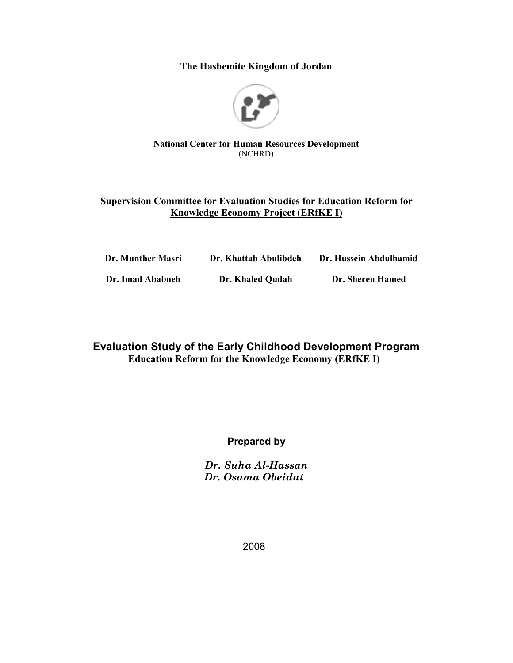The Hashemite Kingdom of Jordan



#### **National Center for Human Resources Development** (NCHRD)

## **Supervision Committee for Evaluation Studies for Education Reform for Knowledge Economy Project (ERfKE I)**

| Dr. Munther Masri | Dr. Khattab Abulibdeh | Dr. Hussein Abdulhamid |
|-------------------|-----------------------|------------------------|
| Dr. Imad Ababneh  | Dr. Khaled Oudah      | Dr. Sheren Hamed       |

## **Evaluation Study of the Early Childhood Development Program Education Reform for the Knowledge Economy (ERfKE I)**

## **Prepared by**

Dr. Suha Al-Hassan Dr. Osama Obeidat

2008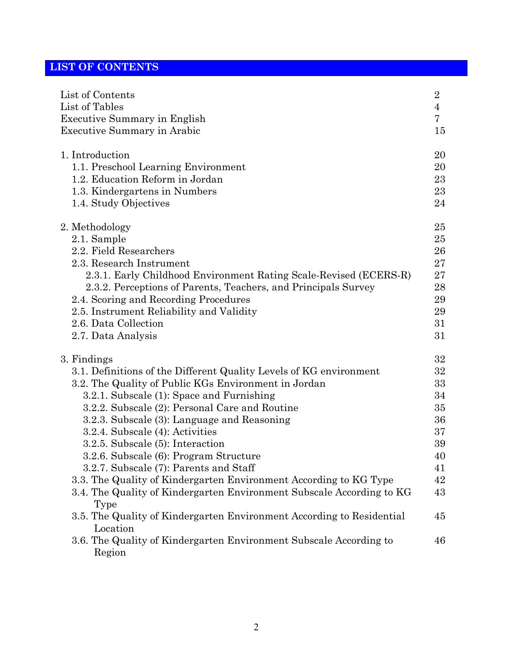# **LIST OF CONTENTS**

| List of Contents                                                                         | $\sqrt{2}$     |
|------------------------------------------------------------------------------------------|----------------|
| List of Tables                                                                           | $\overline{4}$ |
| <b>Executive Summary in English</b>                                                      | 7              |
| <b>Executive Summary in Arabic</b>                                                       | 15             |
| 1. Introduction                                                                          | 20             |
| 1.1. Preschool Learning Environment                                                      | 20             |
| 1.2. Education Reform in Jordan                                                          | 23             |
| 1.3. Kindergartens in Numbers                                                            | 23             |
| 1.4. Study Objectives                                                                    | 24             |
| 2. Methodology                                                                           | 25             |
| 2.1. Sample                                                                              | 25             |
| 2.2. Field Researchers                                                                   | 26             |
| 2.3. Research Instrument                                                                 | 27             |
| 2.3.1. Early Childhood Environment Rating Scale-Revised (ECERS-R)                        | $27\,$         |
| 2.3.2. Perceptions of Parents, Teachers, and Principals Survey                           | 28             |
| 2.4. Scoring and Recording Procedures                                                    | 29             |
| 2.5. Instrument Reliability and Validity                                                 | 29             |
| 2.6. Data Collection                                                                     | 31             |
| 2.7. Data Analysis                                                                       | 31             |
| 3. Findings                                                                              | 32             |
| 3.1. Definitions of the Different Quality Levels of KG environment                       | 32             |
| 3.2. The Quality of Public KGs Environment in Jordan                                     | 33             |
| 3.2.1. Subscale (1): Space and Furnishing                                                | 34             |
| 3.2.2. Subscale (2): Personal Care and Routine                                           | 35             |
| 3.2.3. Subscale (3): Language and Reasoning                                              | 36             |
| 3.2.4. Subscale (4): Activities                                                          | 37             |
| 3.2.5. Subscale (5): Interaction                                                         | 39             |
| 3.2.6. Subscale (6): Program Structure                                                   | 40             |
| 3.2.7. Subscale (7): Parents and Staff                                                   | 41             |
| 3.3. The Quality of Kindergarten Environment According to KG Type                        | 42             |
| 3.4. The Quality of Kindergarten Environment Subscale According to KG<br>Type            | 43             |
| 3.5. The Quality of Kindergarten Environment According to Residential                    | 45             |
| Location<br>3.6. The Quality of Kindergarten Environment Subscale According to<br>Region | 46             |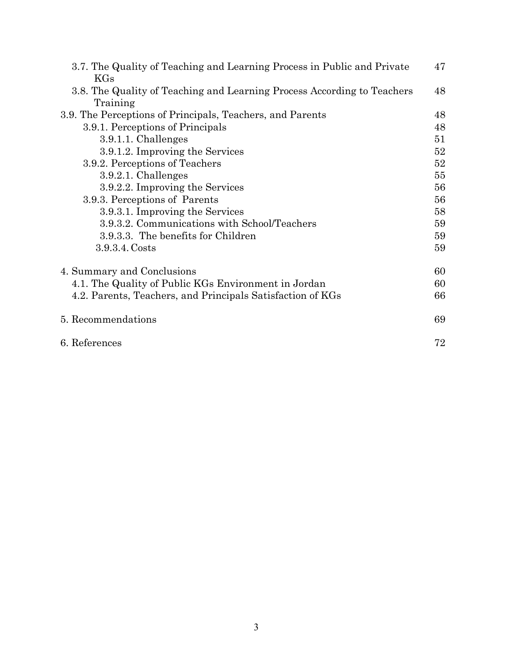| 3.7. The Quality of Teaching and Learning Process in Public and Private | 47 |
|-------------------------------------------------------------------------|----|
| KGs                                                                     |    |
| 3.8. The Quality of Teaching and Learning Process According to Teachers | 48 |
| Training                                                                |    |
| 3.9. The Perceptions of Principals, Teachers, and Parents               | 48 |
| 3.9.1. Perceptions of Principals                                        | 48 |
| 3.9.1.1. Challenges                                                     | 51 |
| 3.9.1.2. Improving the Services                                         | 52 |
| 3.9.2. Perceptions of Teachers                                          | 52 |
| $3.9.2.1$ . Challenges                                                  | 55 |
| 3.9.2.2. Improving the Services                                         | 56 |
| 3.9.3. Perceptions of Parents                                           | 56 |
| 3.9.3.1. Improving the Services                                         | 58 |
| 3.9.3.2. Communications with School/Teachers                            | 59 |
| 3.9.3.3. The benefits for Children                                      | 59 |
| 3.9.3.4. Costs                                                          | 59 |
| 4. Summary and Conclusions                                              | 60 |
| 4.1. The Quality of Public KGs Environment in Jordan                    | 60 |
| 4.2. Parents, Teachers, and Principals Satisfaction of KGs              | 66 |
| 5. Recommendations                                                      | 69 |
| 6. References                                                           | 72 |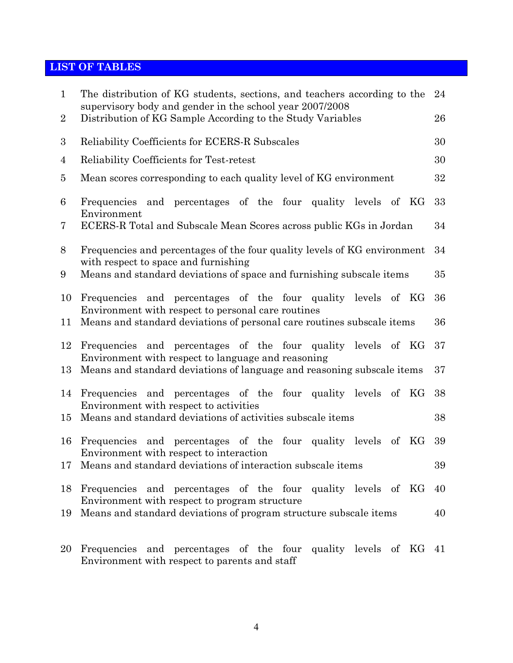# **LIST OF TABLES**

| $\mathbf{1}$    | The distribution of KG students, sections, and teachers according to the<br>supervisory body and gender in the school year 2007/2008 | 24 |
|-----------------|--------------------------------------------------------------------------------------------------------------------------------------|----|
| $\overline{2}$  | Distribution of KG Sample According to the Study Variables                                                                           | 26 |
| 3               | Reliability Coefficients for ECERS-R Subscales                                                                                       | 30 |
| 4               | Reliability Coefficients for Test-retest                                                                                             | 30 |
| $\bf{5}$        | Mean scores corresponding to each quality level of KG environment                                                                    | 32 |
| 6               | Frequencies and percentages of the four quality levels of KG<br>Environment                                                          | 33 |
| 7               | ECERS-R Total and Subscale Mean Scores across public KGs in Jordan                                                                   | 34 |
| 8               | Frequencies and percentages of the four quality levels of KG environment                                                             | 34 |
| 9               | with respect to space and furnishing<br>Means and standard deviations of space and furnishing subscale items                         | 35 |
| 10              | Frequencies and percentages of the four quality levels of KG                                                                         | 36 |
| 11              | Environment with respect to personal care routines<br>Means and standard deviations of personal care routines subscale items         | 36 |
| 12              | Frequencies and percentages of the four quality levels of KG                                                                         | 37 |
| 13              | Environment with respect to language and reasoning<br>Means and standard deviations of language and reasoning subscale items         | 37 |
| 14              | Frequencies and percentages of the four quality levels of KG                                                                         | 38 |
| 15              | Environment with respect to activities<br>Means and standard deviations of activities subscale items                                 | 38 |
| 16              | Frequencies and percentages of the four quality levels<br>of KG                                                                      | 39 |
| 17 <sup>7</sup> | Environment with respect to interaction<br>Means and standard deviations of interaction subscale items                               | 39 |
| 18              | Frequencies and percentages of the four quality levels of KG                                                                         | 40 |
| 19              | Environment with respect to program structure<br>Means and standard deviations of program structure subscale items                   | 40 |
| 20              | Frequencies and percentages of the four quality levels of KG 41                                                                      |    |

Environment with respect to parents and staff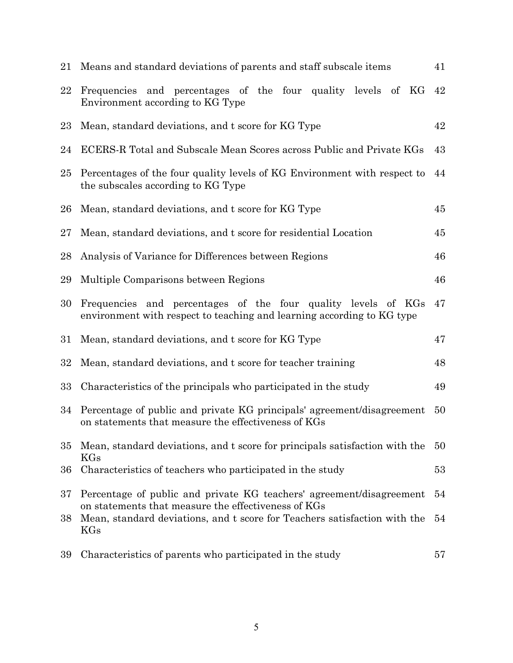|        | 21 Means and standard deviations of parents and staff subscale items                                                                    | 41 |
|--------|-----------------------------------------------------------------------------------------------------------------------------------------|----|
| 22     | Frequencies and percentages of the four quality levels of KG<br>Environment according to KG Type                                        | 42 |
| 23     | Mean, standard deviations, and t score for KG Type                                                                                      | 42 |
| 24     | ECERS-R Total and Subscale Mean Scores across Public and Private KGs                                                                    | 43 |
| $25\,$ | Percentages of the four quality levels of KG Environment with respect to<br>the subscales according to KG Type                          | 44 |
| 26     | Mean, standard deviations, and t score for KG Type                                                                                      | 45 |
| 27     | Mean, standard deviations, and t score for residential Location                                                                         | 45 |
| 28     | Analysis of Variance for Differences between Regions                                                                                    | 46 |
| 29     | Multiple Comparisons between Regions                                                                                                    | 46 |
| 30     | Frequencies and percentages of the four quality levels of KGs<br>environment with respect to teaching and learning according to KG type | 47 |
| 31     | Mean, standard deviations, and t score for KG Type                                                                                      | 47 |
| 32     | Mean, standard deviations, and t score for teacher training                                                                             | 48 |
| 33     | Characteristics of the principals who participated in the study                                                                         | 49 |
| 34     | Percentage of public and private KG principals' agreement/disagreement<br>on statements that measure the effectiveness of KGs           | 50 |
| 35     | Mean, standard deviations, and t score for principals satisfaction with the<br>KGs                                                      | 50 |
| 36     | Characteristics of teachers who participated in the study                                                                               | 53 |
| 37     | Percentage of public and private KG teachers' agreement/disagreement<br>on statements that measure the effectiveness of KGs             | 54 |
| 38     | Mean, standard deviations, and t score for Teachers satisfaction with the<br>KGs                                                        | 54 |
| 39     | Characteristics of parents who participated in the study                                                                                | 57 |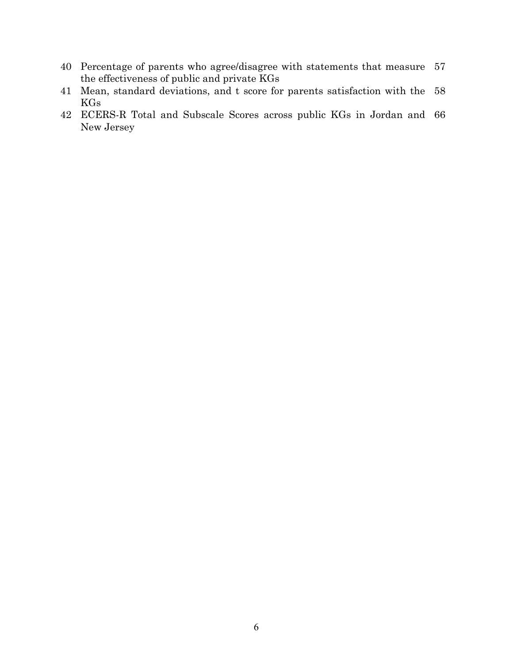- 40 Percentage of parents who agree/disagree with statements that measure 57 the effectiveness of public and private KGs
- 41 Mean, standard deviations, and t score for parents satisfaction with the 58 **KGs**
- 42 ECERS-R Total and Subscale Scores across public KGs in Jordan and 66 New Jersey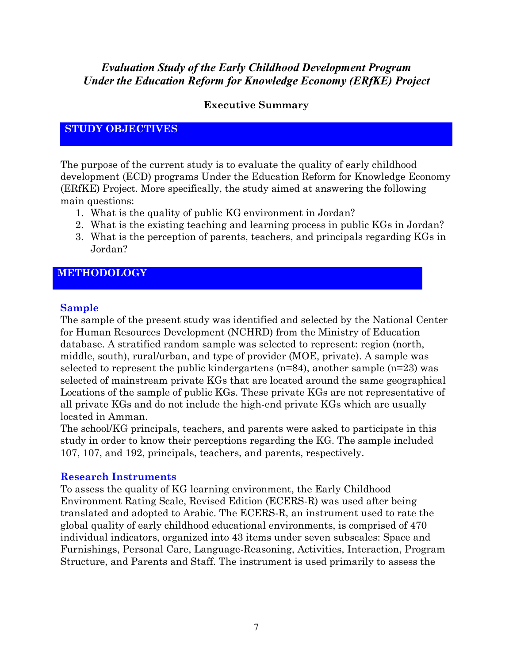# **Evaluation Study of the Early Childhood Development Program Under the Education Reform for Knowledge Economy (ERfKE) Project**

## **Executive Summary**

## **STUDY OBJECTIVES**

The purpose of the current study is to evaluate the quality of early childhood development (ECD) programs Under the Education Reform for Knowledge Economy (ERfKE) Project. More specifically, the study aimed at answering the following main questions:

- 1. What is the quality of public KG environment in Jordan?
- 2. What is the existing teaching and learning process in public KGs in Jordan?
- 3. What is the perception of parents, teachers, and principals regarding KGs in Jordan?

## **METHODOLOGY**

## **Sample**

The sample of the present study was identified and selected by the National Center for Human Resources Development (NCHRD) from the Ministry of Education database. A stratified random sample was selected to represent: region (north, middle, south), rural/urban, and type of provider (MOE, private). A sample was selected to represent the public kindergartens  $(n=84)$ , another sample  $(n=23)$  was selected of mainstream private KGs that are located around the same geographical Locations of the sample of public KGs. These private KGs are not representative of all private KGs and do not include the high-end private KGs which are usually located in Amman.

The school/KG principals, teachers, and parents were asked to participate in this study in order to know their perceptions regarding the KG. The sample included 107, 107, and 192, principals, teachers, and parents, respectively.

## **Research Instruments**

To assess the quality of KG learning environment, the Early Childhood Environment Rating Scale, Revised Edition (ECERS-R) was used after being translated and adopted to Arabic. The ECERS-R, an instrument used to rate the global quality of early childhood educational environments, is comprised of 470 individual indicators, organized into 43 items under seven subscales: Space and Furnishings, Personal Care, Language-Reasoning, Activities, Interaction, Program Structure, and Parents and Staff. The instrument is used primarily to assess the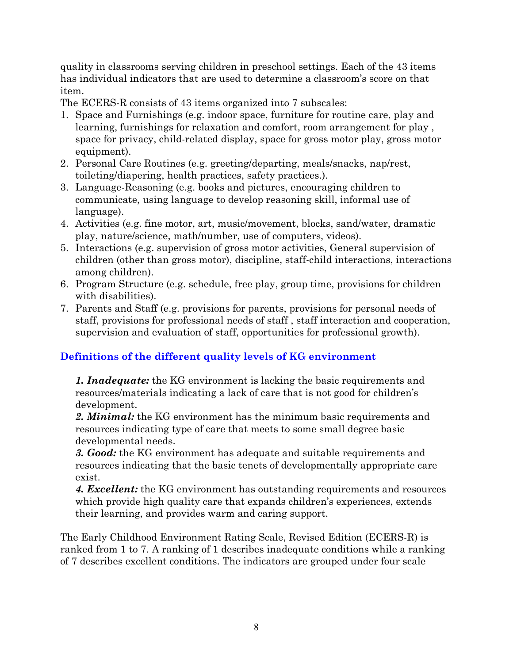quality in classrooms serving children in preschool settings. Each of the 43 items has individual indicators that are used to determine a classroom's score on that item.

The ECERS-R consists of 43 items organized into 7 subscales:

- 1. Space and Furnishings (e.g. indoor space, furniture for routine care, play and learning, furnishings for relaxation and comfort, room arrangement for play, space for privacy, child-related display, space for gross motor play, gross motor equipment).
- 2. Personal Care Routines (e.g. greeting/departing, meals/snacks, nap/rest, toileting/diapering, health practices, safety practices.).
- 3. Language-Reasoning (e.g. books and pictures, encouraging children to communicate, using language to develop reasoning skill, informal use of language).
- 4. Activities (e.g. fine motor, art, music/movement, blocks, sand/water, dramatic play, nature/science, math/number, use of computers, videos).
- 5. Interactions (e.g. supervision of gross motor activities, General supervision of children (other than gross motor), discipline, staff-child interactions, interactions among children).
- 6. Program Structure (e.g. schedule, free play, group time, provisions for children with disabilities).
- 7. Parents and Staff (e.g. provisions for parents, provisions for personal needs of staff, provisions for professional needs of staff, staff interaction and cooperation, supervision and evaluation of staff, opportunities for professional growth).

# Definitions of the different quality levels of KG environment

**1. Inadequate:** the KG environment is lacking the basic requirements and resources/materials indicating a lack of care that is not good for children's development.

2. Minimal: the KG environment has the minimum basic requirements and resources indicating type of care that meets to some small degree basic developmental needs.

3. Good: the KG environment has adequate and suitable requirements and resources indicating that the basic tenets of developmentally appropriate care exist.

4. Excellent: the KG environment has outstanding requirements and resources which provide high quality care that expands children's experiences, extends their learning, and provides warm and caring support.

The Early Childhood Environment Rating Scale, Revised Edition (ECERS-R) is ranked from 1 to 7. A ranking of 1 describes inadequate conditions while a ranking of 7 describes excellent conditions. The indicators are grouped under four scale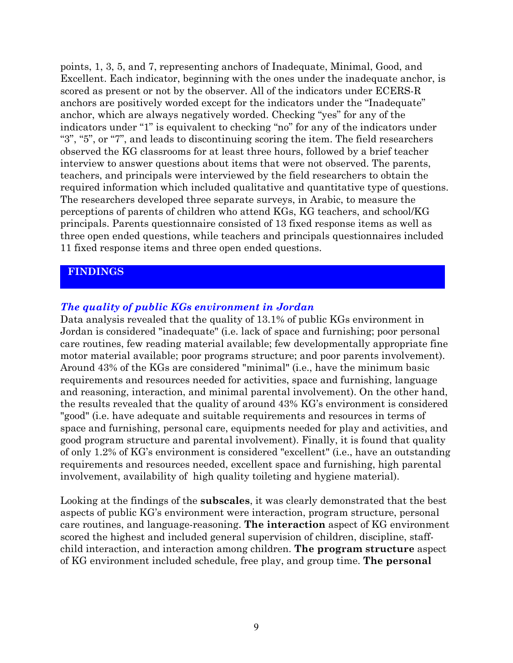points, 1, 3, 5, and 7, representing anchors of Inadequate, Minimal, Good, and Excellent. Each indicator, beginning with the ones under the inadequate anchor, is scored as present or not by the observer. All of the indicators under ECERS-R anchors are positively worded except for the indicators under the "Inadequate" anchor, which are always negatively worded. Checking "yes" for any of the indicators under "1" is equivalent to checking "no" for any of the indicators under "3", "5", or "7", and leads to discontinuing scoring the item. The field researchers observed the KG classrooms for at least three hours, followed by a brief teacher interview to answer questions about items that were not observed. The parents, teachers, and principals were interviewed by the field researchers to obtain the required information which included qualitative and quantitative type of questions. The researchers developed three separate surveys, in Arabic, to measure the perceptions of parents of children who attend KGs, KG teachers, and school/KG principals. Parents questionnaire consisted of 13 fixed response items as well as three open ended questions, while teachers and principals questionnaires included 11 fixed response items and three open ended questions.

## **FINDINGS**

## The quality of public KGs environment in Jordan

Data analysis revealed that the quality of 13.1% of public KGs environment in Jordan is considered "inadequate" (i.e. lack of space and furnishing; poor personal care routines, few reading material available; few developmentally appropriate fine motor material available; poor programs structure; and poor parents involvement). Around 43% of the KGs are considered "minimal" (i.e., have the minimum basic requirements and resources needed for activities, space and furnishing, language and reasoning, interaction, and minimal parental involvement). On the other hand, the results revealed that the quality of around 43% KG's environment is considered "good" (i.e. have adequate and suitable requirements and resources in terms of space and furnishing, personal care, equipments needed for play and activities, and good program structure and parental involvement). Finally, it is found that quality of only 1.2% of KG's environment is considered "excellent" (i.e., have an outstanding requirements and resources needed, excellent space and furnishing, high parental involvement, availability of high quality toileting and hygiene material).

Looking at the findings of the **subscales**, it was clearly demonstrated that the best aspects of public KG's environment were interaction, program structure, personal care routines, and language-reasoning. The interaction aspect of KG environment scored the highest and included general supervision of children, discipline, staffchild interaction, and interaction among children. The program structure aspect of KG environment included schedule, free play, and group time. The personal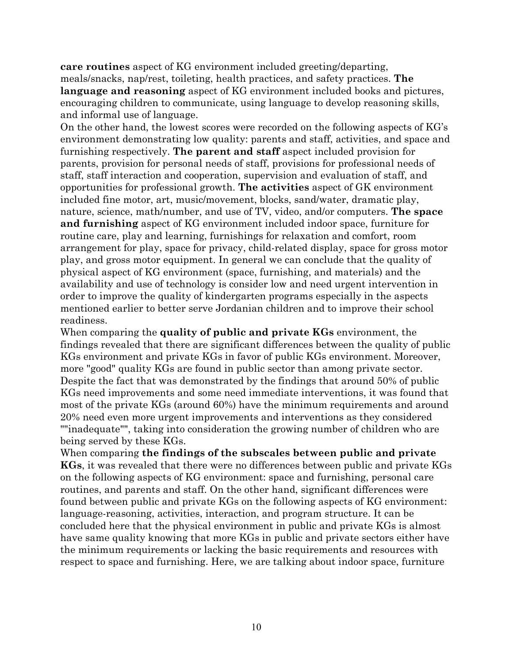**care routines** aspect of KG environment included greeting/departing, meals/snacks, nap/rest, toileting, health practices, and safety practices. The language and reasoning aspect of KG environment included books and pictures, encouraging children to communicate, using language to develop reasoning skills, and informal use of language.

On the other hand, the lowest scores were recorded on the following aspects of KG's environment demonstrating low quality: parents and staff, activities, and space and furnishing respectively. The parent and staff aspect included provision for parents, provision for personal needs of staff, provisions for professional needs of staff, staff interaction and cooperation, supervision and evaluation of staff, and opportunities for professional growth. The activities aspect of GK environment included fine motor, art, music/movement, blocks, sand/water, dramatic play, nature, science, math/number, and use of TV, video, and/or computers. The space and furnishing aspect of KG environment included indoor space, furniture for routine care, play and learning, furnishings for relaxation and comfort, room arrangement for play, space for privacy, child-related display, space for gross motor play, and gross motor equipment. In general we can conclude that the quality of physical aspect of KG environment (space, furnishing, and materials) and the availability and use of technology is consider low and need urgent intervention in order to improve the quality of kindergarten programs especially in the aspects mentioned earlier to better serve Jordanian children and to improve their school readiness.

When comparing the quality of public and private KGs environment, the findings revealed that there are significant differences between the quality of public KGs environment and private KGs in favor of public KGs environment. Moreover, more "good" quality KGs are found in public sector than among private sector. Despite the fact that was demonstrated by the findings that around 50% of public KGs need improvements and some need immediate interventions, it was found that most of the private KGs (around 60%) have the minimum requirements and around 20% need even more urgent improvements and interventions as they considered ""inadequate"", taking into consideration the growing number of children who are being served by these KGs.

When comparing the findings of the subscales between public and private **KGs**, it was revealed that there were no differences between public and private KGs on the following aspects of KG environment: space and furnishing, personal care routines, and parents and staff. On the other hand, significant differences were found between public and private KGs on the following aspects of KG environment: language-reasoning, activities, interaction, and program structure. It can be concluded here that the physical environment in public and private KGs is almost have same quality knowing that more KGs in public and private sectors either have the minimum requirements or lacking the basic requirements and resources with respect to space and furnishing. Here, we are talking about indoor space, furniture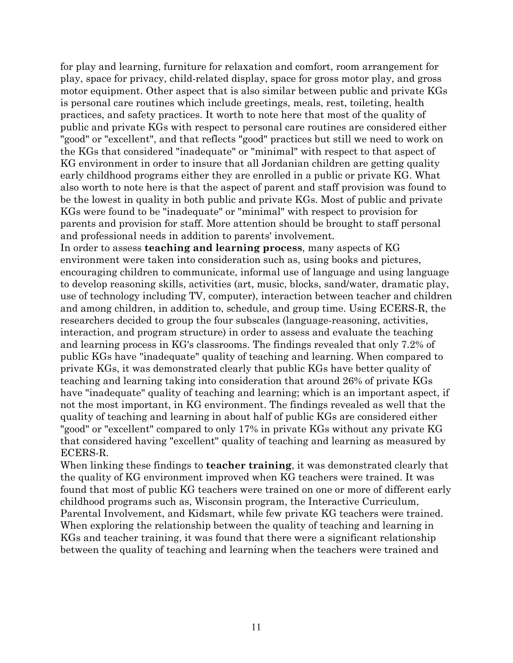for play and learning, furniture for relaxation and comfort, room arrangement for play, space for privacy, child-related display, space for gross motor play, and gross motor equipment. Other aspect that is also similar between public and private KGs is personal care routines which include greetings, meals, rest, toileting, health practices, and safety practices. It worth to note here that most of the quality of public and private KGs with respect to personal care routines are considered either "good" or "excellent", and that reflects "good" practices but still we need to work on the KGs that considered "inadequate" or "minimal" with respect to that aspect of KG environment in order to insure that all Jordanian children are getting quality early childhood programs either they are enrolled in a public or private KG. What also worth to note here is that the aspect of parent and staff provision was found to be the lowest in quality in both public and private KGs. Most of public and private KGs were found to be "inadequate" or "minimal" with respect to provision for parents and provision for staff. More attention should be brought to staff personal and professional needs in addition to parents' involvement.

In order to assess **teaching and learning process**, many aspects of KG environment were taken into consideration such as, using books and pictures, encouraging children to communicate, informal use of language and using language to develop reasoning skills, activities (art, music, blocks, sand/water, dramatic play, use of technology including TV, computer), interaction between teacher and children and among children, in addition to, schedule, and group time. Using ECERS-R, the researchers decided to group the four subscales (language-reasoning, activities, interaction, and program structure) in order to assess and evaluate the teaching and learning process in KG's classrooms. The findings revealed that only 7.2% of public KGs have "inadequate" quality of teaching and learning. When compared to private KGs, it was demonstrated clearly that public KGs have better quality of teaching and learning taking into consideration that around 26% of private KGs have "inadequate" quality of teaching and learning; which is an important aspect, if not the most important, in KG environment. The findings revealed as well that the quality of teaching and learning in about half of public KGs are considered either "good" or "excellent" compared to only 17% in private KGs without any private KG that considered having "excellent" quality of teaching and learning as measured by ECERS-R.

When linking these findings to **teacher training**, it was demonstrated clearly that the quality of KG environment improved when KG teachers were trained. It was found that most of public KG teachers were trained on one or more of different early childhood programs such as, Wisconsin program, the Interactive Curriculum, Parental Involvement, and Kidsmart, while few private KG teachers were trained. When exploring the relationship between the quality of teaching and learning in KGs and teacher training, it was found that there were a significant relationship between the quality of teaching and learning when the teachers were trained and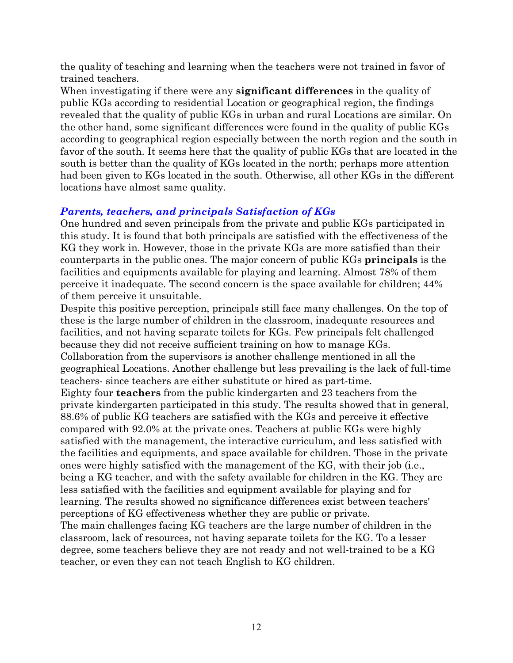the quality of teaching and learning when the teachers were not trained in favor of trained teachers.

When investigating if there were any **significant differences** in the quality of public KGs according to residential Location or geographical region, the findings revealed that the quality of public KGs in urban and rural Locations are similar. On the other hand, some significant differences were found in the quality of public KGs according to geographical region especially between the north region and the south in favor of the south. It seems here that the quality of public KGs that are located in the south is better than the quality of KGs located in the north; perhaps more attention had been given to KGs located in the south. Otherwise, all other KGs in the different locations have almost same quality.

## **Parents, teachers, and principals Satisfaction of KGs**

One hundred and seven principals from the private and public KGs participated in this study. It is found that both principals are satisfied with the effectiveness of the KG they work in. However, those in the private KGs are more satisfied than their counterparts in the public ones. The major concern of public KGs **principals** is the facilities and equipments available for playing and learning. Almost 78% of them perceive it inadequate. The second concern is the space available for children; 44% of them perceive it unsuitable.

Despite this positive perception, principals still face many challenges. On the top of these is the large number of children in the classroom, inadequate resources and facilities, and not having separate toilets for KGs. Few principals felt challenged because they did not receive sufficient training on how to manage KGs. Collaboration from the supervisors is another challenge mentioned in all the geographical Locations. Another challenge but less prevailing is the lack of full-time teachers since teachers are either substitute or hired as part-time. Eighty four **teachers** from the public kindergarten and 23 teachers from the private kindergarten participated in this study. The results showed that in general, 88.6% of public KG teachers are satisfied with the KGs and perceive it effective compared with 92.0% at the private ones. Teachers at public KGs were highly satisfied with the management, the interactive curriculum, and less satisfied with the facilities and equipments, and space available for children. Those in the private ones were highly satisfied with the management of the KG, with their job (i.e., being a KG teacher, and with the safety available for children in the KG. They are less satisfied with the facilities and equipment available for playing and for learning. The results showed no significance differences exist between teachers'

perceptions of KG effectiveness whether they are public or private.

The main challenges facing KG teachers are the large number of children in the classroom, lack of resources, not having separate toilets for the KG. To a lesser degree, some teachers believe they are not ready and not well-trained to be a KG teacher, or even they can not teach English to KG children.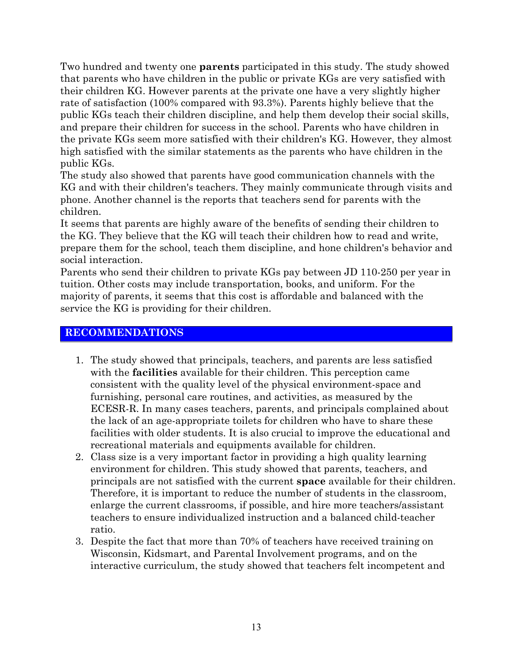Two hundred and twenty one **parents** participated in this study. The study showed that parents who have children in the public or private KGs are very satisfied with their children KG. However parents at the private one have a very slightly higher rate of satisfaction (100% compared with 93.3%). Parents highly believe that the public KGs teach their children discipline, and help them develop their social skills, and prepare their children for success in the school. Parents who have children in the private KGs seem more satisfied with their children's KG. However, they almost high satisfied with the similar statements as the parents who have children in the public KGs.

The study also showed that parents have good communication channels with the KG and with their children's teachers. They mainly communicate through visits and phone. Another channel is the reports that teachers send for parents with the children.

It seems that parents are highly aware of the benefits of sending their children to the KG. They believe that the KG will teach their children how to read and write, prepare them for the school, teach them discipline, and hone children's behavior and social interaction.

Parents who send their children to private KGs pay between JD 110-250 per year in tuition. Other costs may include transportation, books, and uniform. For the majority of parents, it seems that this cost is affordable and balanced with the service the KG is providing for their children.

## **RECOMMENDATIONS**

- 1. The study showed that principals, teachers, and parents are less satisfied with the **facilities** available for their children. This perception came consistent with the quality level of the physical environment-space and furnishing, personal care routines, and activities, as measured by the ECESR-R. In many cases teachers, parents, and principals complained about the lack of an age-appropriate toilets for children who have to share these facilities with older students. It is also crucial to improve the educational and recreational materials and equipments available for children.
- 2. Class size is a very important factor in providing a high quality learning environment for children. This study showed that parents, teachers, and principals are not satisfied with the current **space** available for their children. Therefore, it is important to reduce the number of students in the classroom, enlarge the current classrooms, if possible, and hire more teachers/assistant teachers to ensure individualized instruction and a balanced child-teacher ratio.
- 3. Despite the fact that more than 70% of teachers have received training on Wisconsin, Kidsmart, and Parental Involvement programs, and on the interactive curriculum, the study showed that teachers felt incompetent and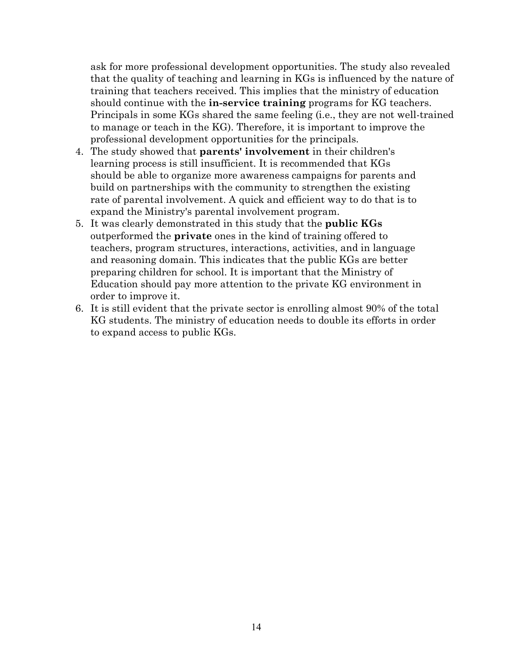ask for more professional development opportunities. The study also revealed that the quality of teaching and learning in KGs is influenced by the nature of training that teachers received. This implies that the ministry of education should continue with the **in-service training** programs for KG teachers. Principals in some KGs shared the same feeling (i.e., they are not well-trained to manage or teach in the KG. Therefore, it is important to improve the professional development opportunities for the principals.

- 4. The study showed that **parents' involvement** in their children's learning process is still insufficient. It is recommended that KGs should be able to organize more awareness campaigns for parents and build on partnerships with the community to strengthen the existing rate of parental involvement. A quick and efficient way to do that is to expand the Ministry's parental involvement program.
- 5. It was clearly demonstrated in this study that the **public KGs** outperformed the **private** ones in the kind of training offered to teachers, program structures, interactions, activities, and in language and reasoning domain. This indicates that the public KGs are better preparing children for school. It is important that the Ministry of Education should pay more attention to the private KG environment in order to improve it.
- 6. It is still evident that the private sector is enrolling almost 90% of the total KG students. The ministry of education needs to double its efforts in order to expand access to public KGs.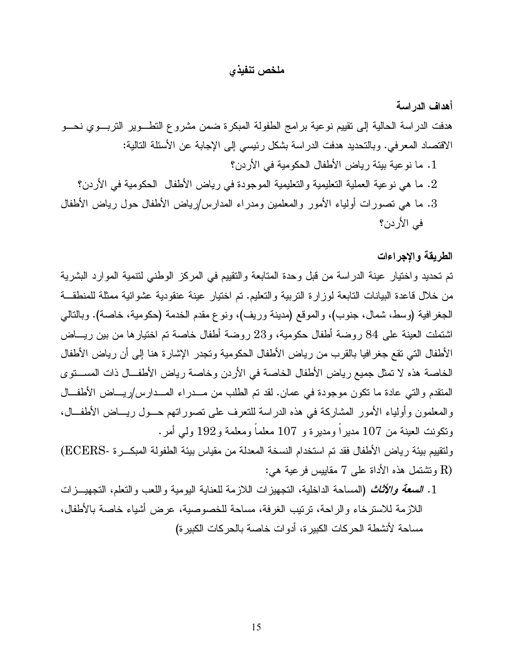## ملخص تنفيذى

# أهداف الدر اسة هدفت الدراسة الحالية إلى نقييم نوعية برامج الطفولة المبكرة ضمن مشروع النطـــوير النزبـــوي نحــــو الاقتصاد المعرفي. وبالتحديد هدفت الدراسة بشكل رئيسي إلى الإجابة عن الأسئلة التالية: 1. ما نو عية بيئة رياض الأطفال الحكومية في الأر دن؟ . ما هي نو عية العملية التعليمية والتعليمية الموجودة في رياض الأطفال الحكومية في الأردن؟ . . ما هي نصورات أولياء الأمور والمعلمين ومدراء المدارس/رياض الأطفال حول رياض الأطفال  $3$  $\ell$ فے الأردن؟

## الطريقة والاجراءات

تم تحديد واختيار عينة الدراسة من قبل وحدة المتابعة والتقييم في المركز الوطني لتتمية الموارد البشرية من خلال قاعدة البيانات النابعة لوزارة النربية والنعليم. تم اختيار عينة عنقودية عشوائية ممثلة للمنطقــة الجغرافية (وسط، شمال، جنوب)، والموقع (مدينة وريف)، ونوع مقدم الخدمة (حكومية، خاصة). وبالنالي اشتملت العينة على 84 روضة أطفال حكومية، و23 روضة أطفال خاصة تم اختيارها من بين ريـــاض الأطفال التي تقع جغرافيا بالقرب من رياض الأطفال الحكومية وتجدر الإشارة هنا إلى أن رياض الأطفال الخاصة هذه لا تمثِّل جميع رياض الأطفال الخاصة في الأردن وخاصة رياض الأطفــال ذات المســتوى المنقدم والتبي عادة ما نكون موجودة في عمان. لقد تم الطلب من مـــدراء المـــدارس/ريــــاض الأطفـــال والمعلمون وأولياء الأمور المشاركة في هذه الدراسة للنعرف على نصوراتهم حــول ريـــاض الأطفـــال، ونكونت العينة من 107 مديراً ومديرة و 107 معلماً ومعلمة و192 ولي أمر.

ولتقييم بيئة رياض الأطفال فقد تم استخدام النسخة المعدلة من مقياس بيئة الطفولة المبكـــر ة -ECERS) وتشتمل هذه الأداة على 7 مقاييس فرعية هي:  $\rm R)$ 

1. الصعة والأثّاث (المساحة الداخلية، التجهيز ات اللازمة للعناية اليومية واللعب والتعلم، التجهيــز ات اللازمة للاسترخاء والراحة، ترتيب الغرفة، مساحة للخصوصية، عرض أشياء خاصة بالأطفال، مساحة لأنشطة الحركات الكبير ة، أدوات خاصة بالحركات الكبير ة)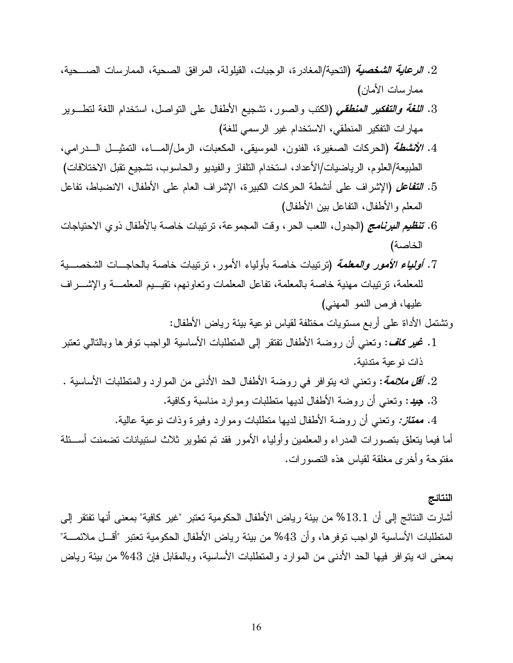- 2. *الرعاية الشخصية* (التحية/المغادر ة، الوجبات، القيلولة، المرافق الصحية، الممارسات الصـــحية، ممار سات الأمان)
- 3. *اللغة والتفكير المنطقي* (الكتب والصور، تشجيع الأطفال على النواصل، استخدام اللغة لنطــوير مهارات التفكير المنطقى، الاستخدام غير الرسمي للغة)
- 4. *الأنشطة* (الحركات الصغيرة، الفنون، الموسيقي، المكعبات، الرمل/المــــاء، النمثيـــل الــــدرامي، الطبيعة/العلوم، الرياضيات/الأعداد، استخدام النلفاز والفيديو والحاسوب، نشجيع نقبل الاختلافات)
- 5. التَّفاعل (الإشراف على أنشطة الحركات الكبيرة، الإشراف العام على الأطفال، الانضباط، تفاعل المعلم والأطفال، النفاعل بين الأطفال)
- 6. تَفَطِّيع *البرنامج* (الجدول، اللعب الحر ، وقت المجموعة، ترتيبات خاصة بالأطفال ذوى الاحتياجات الخاصة)
- 7. *أولياء الأمور والمعلمة* (نرنيبات خاصة بأولياء الأمور، نرنيبات خاصة بالحاجـــات الشخصــــية للمعلمة، ترتيبات مهنية خاصة بالمعلمة، تفاعل المعلمات وتعاونهم، تقيـــيم المعلمـــة والإشــــراف عليها، فرص النمو المهنى)

وتشتمل الأداة على أربع مستويات مختلفة لقياس نوعية بيئة رياض الأطفال:

- 1. نحير كلف: ونعني أن روضة الأطفال تفتقر إلى المنطلبات الأساسية الواجب نوفرها وبالنالي نعتبر ذات نو عية متدنية.
- 2. *أقل ملائعة*: وتعني انه بتوافر في روضة الأطفال الحد الأدنى من الموارد والمتطلبات الأساسية .
	- 3. جِيدٍ: وتعني أن روضة الأطفال لديها منطلبات وموارد مناسبة وكافية.
	- 4. م*عتاز:* ونعني أن روضة الأطفال لديها منطلبات وموارد وفيرة وذات نوعية عالية.

أما فيما يتعلق بتصورات المدراء والمعلمين وأولياء الأمور فقد تم تطوير ثلاث استبيانات تضمنت أســئلة مفتوحة وأخرى مغلقة لقياس هذه النصورات.

النتائج

أشارت النتائج إلى أن 13.1% من بيئة رياض الأطفال الحكومية تعتبر "غير كافية" بمعنى أنها تفتقر إلى المنطلبات الأساسية الواجب نوفرها، وأن 43% من بيئة رياض الأطفال الحكومية نعتبر "أقـــل ملائمــــة" بمعنى انه بنو افر فيها الحد الأدنى من المو ار د و المنطلبات الأساسية، و بالمقابل فإن 43% من بيئة ر ياض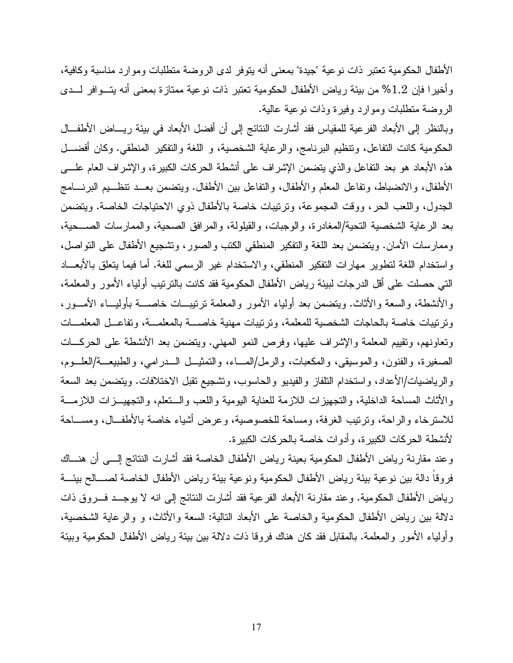الأطفال الحكومية تعتبر ذات نوعية "جيدة" بمعنى أنه يتوفر لدى الروضة متطلبات وموارد مناسبة وكافية، وأخيرا فإن 1.2% من بيئة رياض الأطفال الحكومية تعتبر ذات نوعية ممتازة بمعنى أنه يتــوافر لـــدى الروضة منطلبات وموارد وفيرة وذات نوعية عالية.

وبالنظر إلى الأبعاد الفرعية للمقياس فقد أشارت النتائج إلى أن أفضل الأبعاد في بيئة ريـــاض الأطفـــال الحكومية كانت النفاعل، ونتظيم البرنامج، والرعاية الشخصية، و اللغة والتفكير المنطقي. وكان أفضـــل هذه الأبعاد هو بعد النفاعل والذي ينضمن الإشراف على أنشطة الحركات الكبيرة، والإشراف العام علــــي الأطفال، والانضباط، وتفاعل المعلم والأطفال، والنفاعل بين الأطفال. ويتضمن بعــد تنظــيم البرنــــامج الجدول، واللعب الحر، ووفَّت المجموعة، وترتيبات خاصة بالأطفال ذوى الاحتياجات الخاصة. ويتضمن بعد الرعاية الشخصية النحية/المغادرة، والوجبات، والقيلولة، والمرافق الصحية، والممارسات الصـــحية، وممار سات الأمان. ويتضمن بعد اللغة والتفكير المنطقي الكتب والصور ، وتشجيع الأطفال على التواصل، و استخدام اللغة لتطوير ًمهارات التفكير المنطقي، والاستخدام غير الرسمي للغة. أما فيما يتعلق بالأبعــاد التي حصلت على أقل الدرجات لببيئة رياض الأطفال الحكومية فقد كانت بالنرنيب أولياء الأمور والمعلمة، و الأنشطة، والسعة و الأثاث. وينضمن بعد أولياء الأمور والمعلمة ترتيبــات خاصـــة بأوليــاء الأمـــور ، وترتيبات خاصة بالحاجات الشخصية للمعلمة، وترتيبات مهنية خاصسة بالمعلمسة، وتفاعل المعلمسات وتعاونهم، وتقييم المعلمة والإشراف عليها، وفرص النمو المهنى. ويتضمن بعد الأنشطة على الحركـــات الصغيرة، والفنون، والموسيقى، والمكعبات، والرمل/المساء، والتمثيــل الـــدرامي، والطبيعــة/العلـــوم، والرياضيات/الأعداد، واستخدام النلفاز والفيديو والحاسوب، وتشجيع نقبل الاختلافات. ويتضمن بعد السعة والأثاث المساحة الداخلية، والتجهيز ات اللازمة للعناية اليومية واللعب والسنعلم، والتجهيــزات اللازمـــة للاسترخاء والراحة، وترتيب الغرفة، ومساحة للخصوصية، وعرض أشياء خاصة بالأطف ال، ومســاحة لأنشطة الحركات الكبيرة، وأدوات خاصة بالحركات الكبيرة.

وعند مقارنة رياض الأطفال الحكومية بعينة رياض الأطفال الخاصة فقد أشارت النتائج إلــي أن هنــاك فروقاً دالة بين نوعية بيئة رياض الأطفال الحكومية ونوعية بيئة رياض الأطفال الخاصة لصسالح بيئسة رياض الأطفال الحكومية. وعند مقارنة الأبعاد الفرعية فقد أشارت النتائج إلى انه لا يوجــد فـــروق ذات دلالة بين رياض الأطفال الحكومية والخاصة على الأبعاد النالية: السعة والأثاث، و والرعاية الشخصية، وأولياء الأمور والمعلمة. بالمقابل فقد كان هناك فروقا ذات دلالة بين بيئة رياض الأطفال الحكومية وبيئة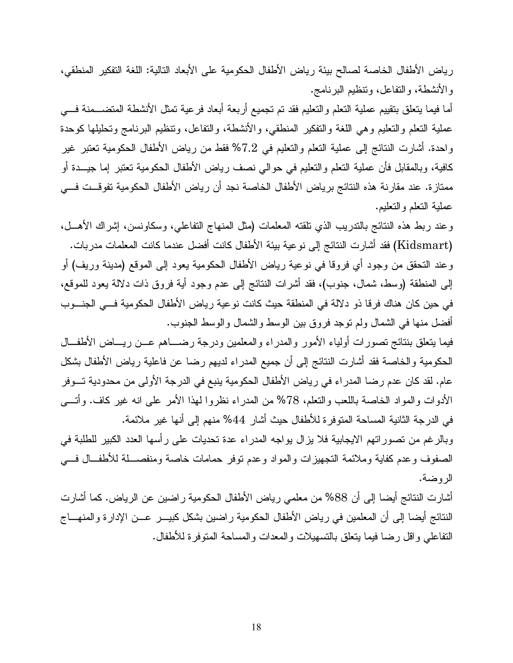رياض الأطفال الخاصة لصالح بيئة رياض الأطفال الحكومية على الأبعاد التالية: اللغة التفكير المنطقي، والأنشطة، والنفاعل، وننظيم البرنامج.

أما فيما يتعلق بتقييم عملية التعلم والتعليم فقد تم تجميع أربعة أبعاد فرعية تمثل الأنشطة المتضـــمنة فــــي عملية النعلم والنعليم وهي اللغة والنفكير المنطقي، والأنشطة، والنفاعل، وننظيم البرنامج ونحليلها كوحدة واحدة. أشارت النتائج إلى عملية التعلم والتعليم في 7.2% فقط من رياض الأطفال الحكومية تعتبر غير كافية، وبالمقابل فأن عملية النعلم والنعليم في حوالى نصف رياض الأطفال الحكومية نعتبر إما جيـــدة أو ممتازة. عند مقارنة هذه النتائج برياض الأطفال الخاصة نجد أن رياض الأطفال الحكومية تفوقــت فـــي عملية النعلم والنعليم.

و عند ربط هذه النتائج بالندريب الذي نلقته المعلمات (مثل المنهاج التفاعلي، وسكاونسن، إشر اك الأهـــل، (Kidsmart) فقد أشارت النتائج إلى نوعية بيئة الأطفال كانت أفضل عندما كانت المعلمات مدربات. وعند التحقق من وجود أي فروقا في نوعية رياض الأطفال الحكومية يعود إلى الموقع (مدينة وريف) أو إلى المنطقة (وسط، شمال، جنوب)، فقد أشرات النتائج إلى عدم وجود أية فروق ذات دلالة يعود للموقع، في حين كان هناك فرقا ذو دلالة في المنطقة حيث كانت نوعية رياض الأطفال الحكومية فــي الجنـــوب أفضل منها في الشمال ولم نوجد فروق بين الوسط والشمال والوسط الجنوب.

فيما يتعلق بنتائج تصورات أولياء الأمور والمدراء والمعلمين ودرجة رضـــاهم عـــن ريــــاض الأطفـــال الحكومية والخاصة فقد أشارت النتائج إلىي أن جميع المدراء لديهم رضا عن فاعلية رياض الأطفال بشكل عام. لقد كان عدم رضا المدراء في رياض الأطفال الحكومية ينبع في الدرجة الأولى من محدودية تـــوفر الأدوات والمواد الخاصة باللعب والنعلم، 78% من المدراء نظروا لهذا الأمر على انه غير كاف. وأتـــي في الدرجة الثانية المساحة المنوفرة للأطفال حيث أشار 44% منهم إلى أنها غير ملائمة. وبالرغم من تصوراتهم الايجابية فلا يزال يواجه المدراء عدة تحديات على رأسها العدد الكبير للطلبة في

الصفوف وعدم كفاية وملائمة التجهيزات والمواد وعدم نوفر حمامات خاصة ومنفصـــلة للأطفــال فـــي الروضة.

أشارت النتائج أيضا إلى أن 88% من معلمي رياض الأطفال الحكومية راضين عن الرياض. كما أشارت النتائج أيضا إلى أن المعلمين في رياض الأطفال الحكومية راضين بشكل كبيـــر عـــن الإدارة والمنهـــاج النفاعلي واقل رضا فيما يتعلق بالتسهيلات والمعدات والمساحة المنوفرة للأطفال.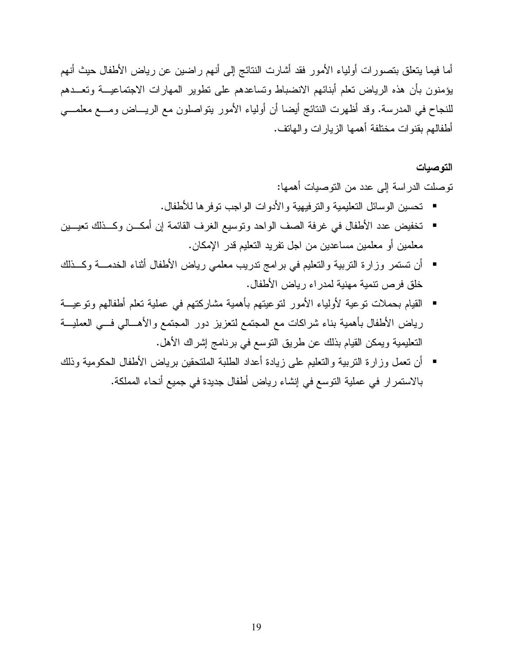أما فيما يتعلق بتصورات أولياء الأمور فقد أشارت النتائج إلى أنهم راضين عن رياض الأطفال حيث أنهم بؤمنون بأن هذه الرياض تعلم أبنائهم الانضباط وتساعدهم على نطوير المهارات الاجتماعيـــة وتعـــدهم للنجاح في المدرسة. وقد أظهرت النتائج أيضا أن أولياء الأمور يتواصلون مع الريـــاض ومـــع معلمـــي أطفالهم بقنو ات مختلفة أهمها الزيار ات و الهاتف.

#### التوصيات

توصلت الدراسة إلى عدد من التوصيات أهمها:

- نحسين الوسائل النعليمية والنرفيهية والأدوات الواجب نوفرها للأطفال.
- تخفيض عدد الأطفال في غرفة الصف الواحد ونوسيع الغرف القائمة إن أمكـــن وكـــذلك تعيـــين معلمين أو معلمين مساعدين من اجل تفريد التعليم قدر الإمكان.
- أن نستمر وزارة النربية والنعليم في برامج ندريب معلمي رياض الأطفال أثناء الخدمـــة وكـــذلك خلق فرص نتمية مهنية لمدراء رياض الأطفال.
- القيام بحملات توعية لأولياء الأمور لتوعيتهم بأهمية مشاركتهم في عملية تعلم أطفالهم وتوعيـــة رياض الأطفال بأهمية بناء شراكات مع المجتمع لتعزيز دور المجتمع والأهـــالى فـــى العمليـــة التعليمية ويمكن القيام بذلك عن طريق التوسع في برنامج إشراك الأهل.
- أن نعمل وزارة النربية والنعليم على زيادة أعداد الطلبة الملتحقين برياض الأطفال الحكومية وذلك بالاستمر ار في عملية التوسع في إنشاء رياض أطفال جديدة في جميع أنحاء المملكة.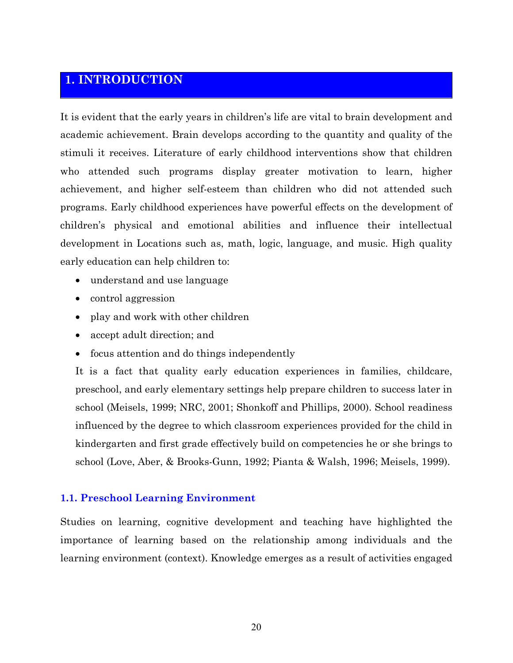# 1. INTRODUCTION

It is evident that the early years in children's life are vital to brain development and academic achievement. Brain develops according to the quantity and quality of the stimuli it receives. Literature of early childhood interventions show that children who attended such programs display greater motivation to learn, higher achievement, and higher self-esteem than children who did not attended such programs. Early childhood experiences have powerful effects on the development of children's physical and emotional abilities and influence their intellectual development in Locations such as, math, logic, language, and music. High quality early education can help children to:

- understand and use language
- control aggression
- play and work with other children
- accept adult direction; and
- focus attention and do things independently

It is a fact that quality early education experiences in families, childcare, preschool, and early elementary settings help prepare children to success later in school (Meisels, 1999; NRC, 2001; Shonkoff and Phillips, 2000). School readiness influenced by the degree to which classroom experiences provided for the child in kindergarten and first grade effectively build on competencies he or she brings to school (Love, Aber, & Brooks-Gunn, 1992; Pianta & Walsh, 1996; Meisels, 1999).

## **1.1. Preschool Learning Environment**

Studies on learning, cognitive development and teaching have highlighted the importance of learning based on the relationship among individuals and the learning environment (context). Knowledge emerges as a result of activities engaged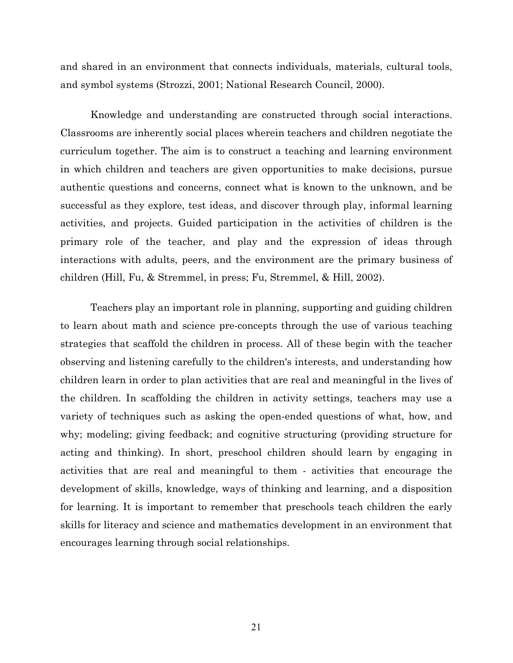and shared in an environment that connects individuals, materials, cultural tools, and symbol systems (Strozzi, 2001; National Research Council, 2000).

Knowledge and understanding are constructed through social interactions. Classrooms are inherently social places wherein teachers and children negotiate the curriculum together. The aim is to construct a teaching and learning environment in which children and teachers are given opportunities to make decisions, pursue authentic questions and concerns, connect what is known to the unknown, and be successful as they explore, test ideas, and discover through play, informal learning activities, and projects. Guided participation in the activities of children is the primary role of the teacher, and play and the expression of ideas through interactions with adults, peers, and the environment are the primary business of children (Hill, Fu, & Stremmel, in press; Fu, Stremmel, & Hill, 2002).

Teachers play an important role in planning, supporting and guiding children to learn about math and science pre-concepts through the use of various teaching strategies that scaffold the children in process. All of these begin with the teacher observing and listening carefully to the children's interests, and understanding how children learn in order to plan activities that are real and meaningful in the lives of the children. In scaffolding the children in activity settings, teachers may use a variety of techniques such as asking the open-ended questions of what, how, and why; modeling; giving feedback; and cognitive structuring (providing structure for acting and thinking). In short, preschool children should learn by engaging in activities that are real and meaningful to them - activities that encourage the development of skills, knowledge, ways of thinking and learning, and a disposition for learning. It is important to remember that preschools teach children the early skills for literacy and science and mathematics development in an environment that encourages learning through social relationships.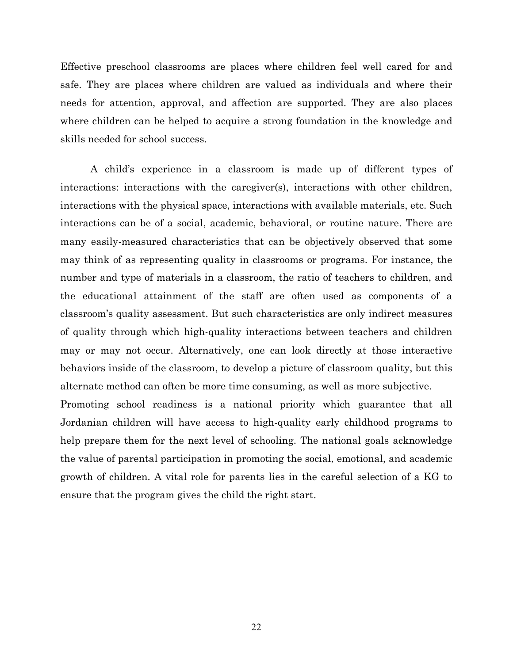Effective preschool classrooms are places where children feel well cared for and safe. They are places where children are valued as individuals and where their needs for attention, approval, and affection are supported. They are also places where children can be helped to acquire a strong foundation in the knowledge and skills needed for school success.

A child's experience in a classroom is made up of different types of interactions: interactions with the caregiver(s), interactions with other children, interactions with the physical space, interactions with available materials, etc. Such interactions can be of a social, academic, behavioral, or routine nature. There are many easily-measured characteristics that can be objectively observed that some may think of as representing quality in classrooms or programs. For instance, the number and type of materials in a classroom, the ratio of teachers to children, and the educational attainment of the staff are often used as components of a classroom's quality assessment. But such characteristics are only indirect measures of quality through which high-quality interactions between teachers and children may or may not occur. Alternatively, one can look directly at those interactive behaviors inside of the classroom, to develop a picture of classroom quality, but this alternate method can often be more time consuming, as well as more subjective.

Promoting school readiness is a national priority which guarantee that all Jordanian children will have access to high-quality early childhood programs to help prepare them for the next level of schooling. The national goals acknowledge the value of parental participation in promoting the social, emotional, and academic growth of children. A vital role for parents lies in the careful selection of a KG to ensure that the program gives the child the right start.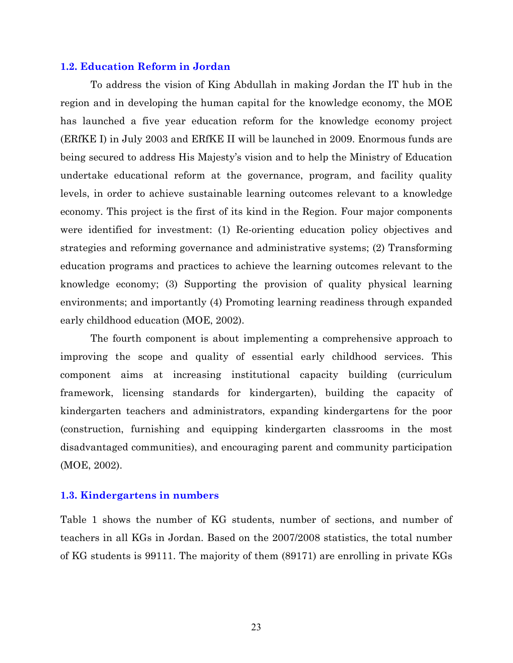#### 1.2. Education Reform in Jordan

To address the vision of King Abdullah in making Jordan the IT hub in the region and in developing the human capital for the knowledge economy, the MOE has launched a five year education reform for the knowledge economy project (ERfKE I) in July 2003 and ERfKE II will be launched in 2009. Enormous funds are being secured to address His Majesty's vision and to help the Ministry of Education undertake educational reform at the governance, program, and facility quality levels, in order to achieve sustainable learning outcomes relevant to a knowledge economy. This project is the first of its kind in the Region. Four major components were identified for investment: (1) Re-orienting education policy objectives and strategies and reforming governance and administrative systems; (2) Transforming education programs and practices to achieve the learning outcomes relevant to the knowledge economy; (3) Supporting the provision of quality physical learning environments; and importantly (4) Promoting learning readiness through expanded early childhood education (MOE, 2002).

The fourth component is about implementing a comprehensive approach to improving the scope and quality of essential early childhood services. This component aims at increasing institutional capacity building (curriculum framework, licensing standards for kindergarten), building the capacity of kindergarten teachers and administrators, expanding kindergartens for the poor (construction, furnishing and equipping kindergarten classrooms in the most disadvantaged communities), and encouraging parent and community participation (MOE, 2002).

#### 1.3. Kindergartens in numbers

Table 1 shows the number of KG students, number of sections, and number of teachers in all KGs in Jordan. Based on the 2007/2008 statistics, the total number of KG students is 99111. The majority of them (89171) are enrolling in private KGs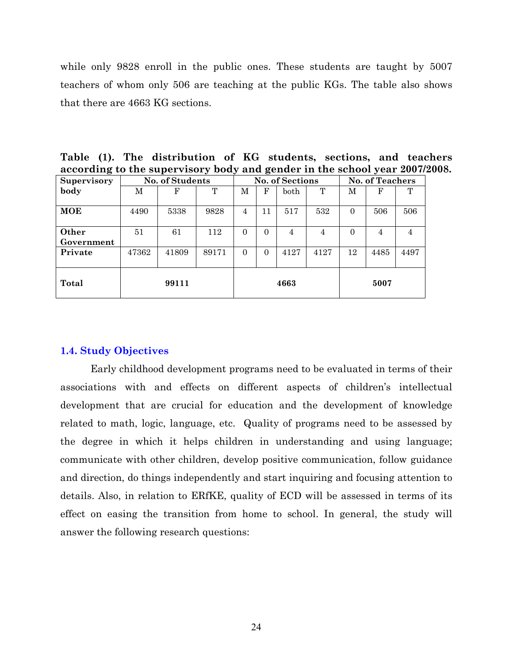while only 9828 enroll in the public ones. These students are taught by 5007 teachers of whom only 506 are teaching at the public KGs. The table also shows that there are 4663 KG sections.

| Table (1). The distribution of KG students, sections, and teachers         |  |  |
|----------------------------------------------------------------------------|--|--|
| according to the supervisory body and gender in the school year 2007/2008. |  |  |

| Supervisory |       | No. of Students |       |          | <b>No. of Sections</b> |               |      | <b>No. of Teachers</b> |      |                |
|-------------|-------|-----------------|-------|----------|------------------------|---------------|------|------------------------|------|----------------|
| body        | М     | F               | T     | M        | F                      | $_{\rm both}$ | T    | М                      | F    | T              |
|             |       |                 |       |          |                        |               |      |                        |      |                |
| MOE         | 4490  | 5338            | 9828  | 4        | 11                     | 517           | 532  | $\Omega$               | 506  | 506            |
|             |       |                 |       |          |                        |               |      |                        |      |                |
| Other       | 51    | 61              | 112   | $\Omega$ | $\Omega$               | 4             | 4    | $\Omega$               | 4    | $\overline{4}$ |
| Government  |       |                 |       |          |                        |               |      |                        |      |                |
| Private     | 47362 | 41809           | 89171 | $\Omega$ | $\Omega$               | 4127          | 4127 | 12                     | 4485 | 4497           |
|             |       |                 |       |          |                        |               |      |                        |      |                |
| Total       |       | 99111           |       |          |                        | 4663          |      |                        | 5007 |                |

#### **1.4. Study Objectives**

Early childhood development programs need to be evaluated in terms of their associations with and effects on different aspects of children's intellectual development that are crucial for education and the development of knowledge related to math, logic, language, etc. Quality of programs need to be assessed by the degree in which it helps children in understanding and using language; communicate with other children, develop positive communication, follow guidance and direction, do things independently and start inquiring and focusing attention to details. Also, in relation to ERfKE, quality of ECD will be assessed in terms of its effect on easing the transition from home to school. In general, the study will answer the following research questions: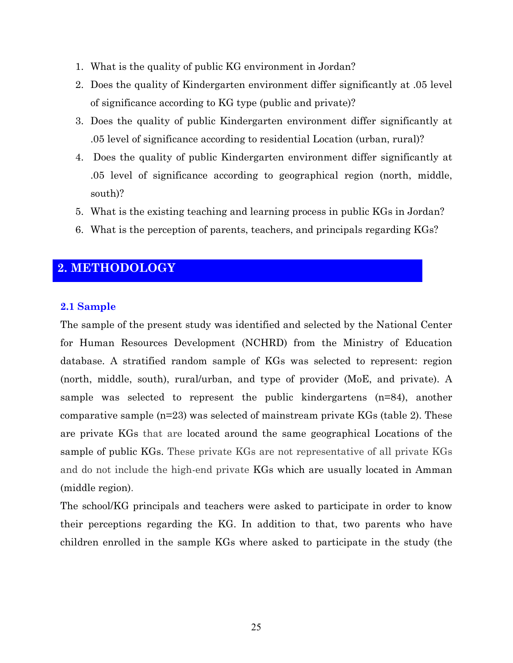- 1. What is the quality of public KG environment in Jordan?
- 2. Does the quality of Kindergarten environment differ significantly at .05 level of significance according to KG type (public and private)?
- 3. Does the quality of public Kindergarten environment differ significantly at .05 level of significance according to residential Location (urban, rural)?
- 4. Does the quality of public Kindergarten environment differ significantly at .05 level of significance according to geographical region (north, middle, south)?
- 5. What is the existing teaching and learning process in public KGs in Jordan?
- 6. What is the perception of parents, teachers, and principals regarding KGs?

## 2. METHODOLOGY

## 2.1 Sample

The sample of the present study was identified and selected by the National Center for Human Resources Development (NCHRD) from the Ministry of Education database. A stratified random sample of KGs was selected to represent: region (north, middle, south), rural/urban, and type of provider (MoE, and private). A sample was selected to represent the public kindergartens  $(n=84)$ , another comparative sample  $(n=23)$  was selected of mainstream private KGs (table 2). These are private KGs that are located around the same geographical Locations of the sample of public KGs. These private KGs are not representative of all private KGs and do not include the high-end private KGs which are usually located in Amman (middle region).

The school/KG principals and teachers were asked to participate in order to know their perceptions regarding the KG. In addition to that, two parents who have children enrolled in the sample KGs where asked to participate in the study (the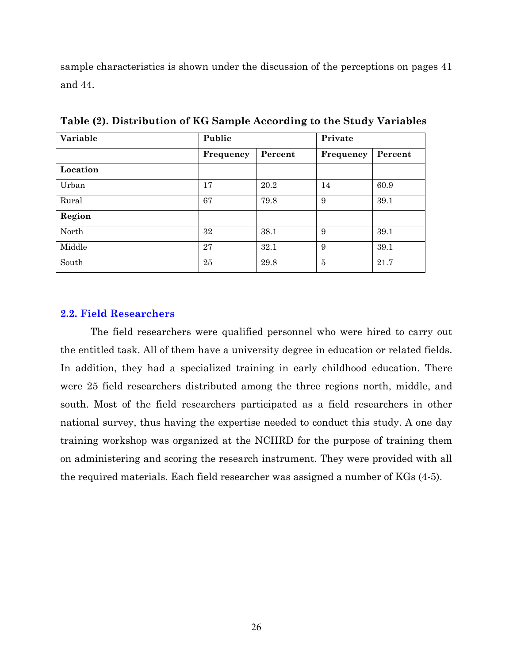sample characteristics is shown under the discussion of the perceptions on pages 41 and 44.

| Variable | Public    |         | Private        |         |  |
|----------|-----------|---------|----------------|---------|--|
|          | Frequency | Percent | Frequency      | Percent |  |
| Location |           |         |                |         |  |
| Urban    | 17        | 20.2    | 14             | 60.9    |  |
| Rural    | 67        | 79.8    | 9              | 39.1    |  |
| Region   |           |         |                |         |  |
| North    | 32        | 38.1    | 9              | 39.1    |  |
| Middle   | 27        | 32.1    | 9              | 39.1    |  |
| South    | 25        | 29.8    | $\overline{5}$ | 21.7    |  |

Table (2). Distribution of KG Sample According to the Study Variables

#### **2.2. Field Researchers**

The field researchers were qualified personnel who were hired to carry out the entitled task. All of them have a university degree in education or related fields. In addition, they had a specialized training in early childhood education. There were 25 field researchers distributed among the three regions north, middle, and south. Most of the field researchers participated as a field researchers in other national survey, thus having the expertise needed to conduct this study. A one day training workshop was organized at the NCHRD for the purpose of training them on administering and scoring the research instrument. They were provided with all the required materials. Each field researcher was assigned a number of KGs (4-5).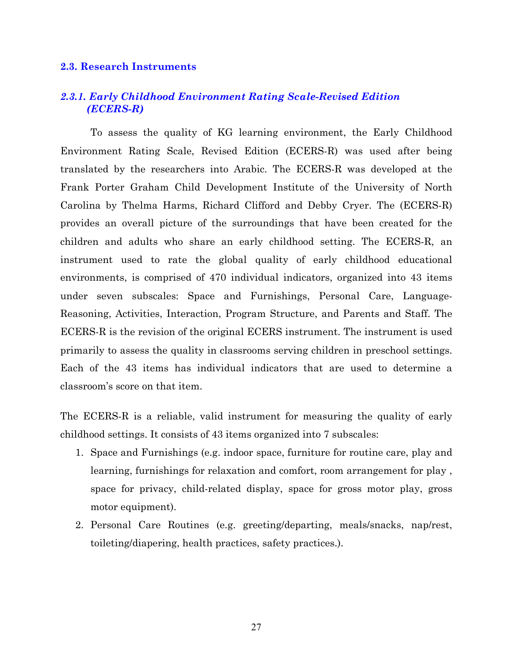#### **2.3. Research Instruments**

## 2.3.1. Early Childhood Environment Rating Scale-Revised Edition (ECERS-R)

To assess the quality of KG learning environment, the Early Childhood Environment Rating Scale, Revised Edition (ECERS-R) was used after being translated by the researchers into Arabic. The ECERS-R was developed at the Frank Porter Graham Child Development Institute of the University of North Carolina by Thelma Harms, Richard Clifford and Debby Cryer. The (ECERS-R) provides an overall picture of the surroundings that have been created for the children and adults who share an early childhood setting. The ECERS-R, an instrument used to rate the global quality of early childhood educational environments, is comprised of 470 individual indicators, organized into 43 items under seven subscales: Space and Furnishings, Personal Care, Language-Reasoning, Activities, Interaction, Program Structure, and Parents and Staff. The ECERS-R is the revision of the original ECERS instrument. The instrument is used primarily to assess the quality in classrooms serving children in preschool settings. Each of the 43 items has individual indicators that are used to determine a classroom's score on that item.

The ECERS-R is a reliable, valid instrument for measuring the quality of early childhood settings. It consists of 43 items organized into 7 subscales:

- 1. Space and Furnishings (e.g. indoor space, furniture for routine care, play and learning, furnishings for relaxation and comfort, room arrangement for play, space for privacy, child-related display, space for gross motor play, gross motor equipment).
- 2. Personal Care Routines (e.g. greeting/departing, meals/snacks, nap/rest, toileting/diapering, health practices, safety practices.).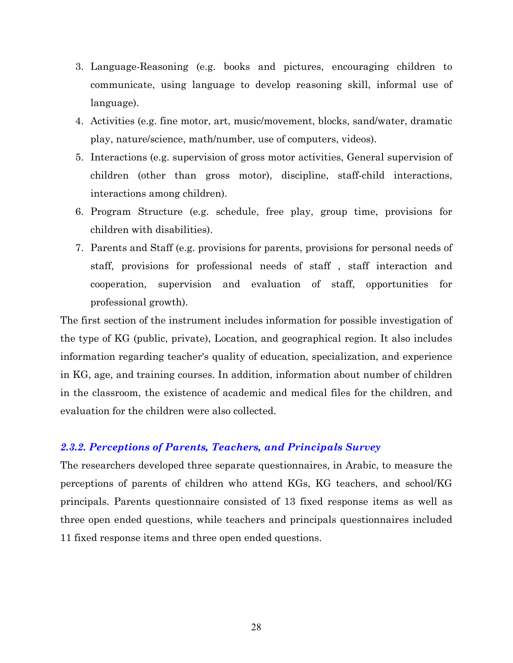- 3. Language-Reasoning (e.g. books and pictures, encouraging children to communicate, using language to develop reasoning skill, informal use of language).
- 4. Activities (e.g. fine motor, art, music/movement, blocks, sand/water, dramatic play, nature/science, math/number, use of computers, videos).
- 5. Interactions (e.g. supervision of gross motor activities, General supervision of children (other than gross motor), discipline, staff-child interactions, interactions among children).
- 6. Program Structure (e.g. schedule, free play, group time, provisions for children with disabilities).
- 7. Parents and Staff (e.g. provisions for parents, provisions for personal needs of staff, provisions for professional needs of staff, staff interaction and cooperation, supervision and evaluation of staff, opportunities for professional growth).

The first section of the instrument includes information for possible investigation of the type of KG (public, private), Location, and geographical region. It also includes information regarding teacher's quality of education, specialization, and experience in KG, age, and training courses. In addition, information about number of children in the classroom, the existence of academic and medical files for the children, and evaluation for the children were also collected.

## 2.3.2. Perceptions of Parents, Teachers, and Principals Survey

The researchers developed three separate question aires, in Arabic, to measure the perceptions of parents of children who attend KGs, KG teachers, and school/KG principals. Parents questionnaire consisted of 13 fixed response items as well as three open ended questions, while teachers and principals questionnaires included 11 fixed response items and three open ended questions.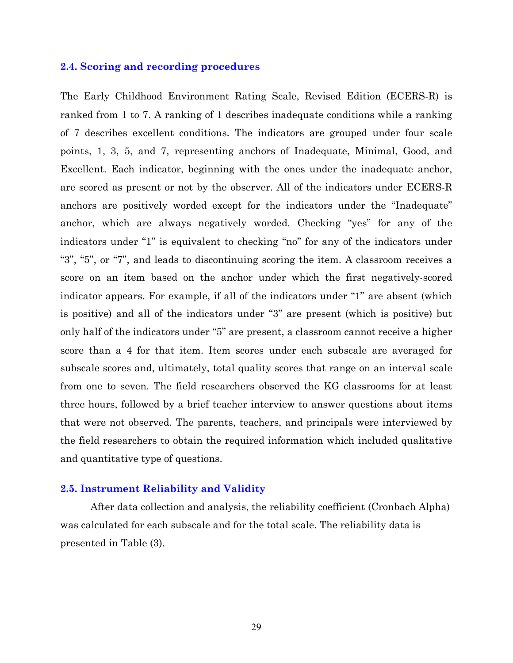#### 2.4. Scoring and recording procedures

The Early Childhood Environment Rating Scale, Revised Edition (ECERS-R) is ranked from 1 to 7. A ranking of 1 describes inadequate conditions while a ranking of 7 describes excellent conditions. The indicators are grouped under four scale points, 1, 3, 5, and 7, representing anchors of Inadequate, Minimal, Good, and Excellent. Each indicator, beginning with the ones under the inadequate anchor, are scored as present or not by the observer. All of the indicators under ECERS-R anchors are positively worded except for the indicators under the "Inadequate" anchor, which are always negatively worded. Checking "yes" for any of the indicators under "1" is equivalent to checking "no" for any of the indicators under "3", "5", or "7", and leads to discontinuing scoring the item. A classroom receives a score on an item based on the anchor under which the first negatively-scored indicator appears. For example, if all of the indicators under "1" are absent (which is positive) and all of the indicators under "3" are present (which is positive) but only half of the indicators under "5" are present, a classroom cannot receive a higher score than a 4 for that item. Item scores under each subscale are averaged for subscale scores and, ultimately, total quality scores that range on an interval scale from one to seven. The field researchers observed the KG classrooms for at least three hours, followed by a brief teacher interview to answer questions about items that were not observed. The parents, teachers, and principals were interviewed by the field researchers to obtain the required information which included qualitative and quantitative type of questions.

#### 2.5. Instrument Reliability and Validity

After data collection and analysis, the reliability coefficient (Cronbach Alpha) was calculated for each subscale and for the total scale. The reliability data is presented in Table (3).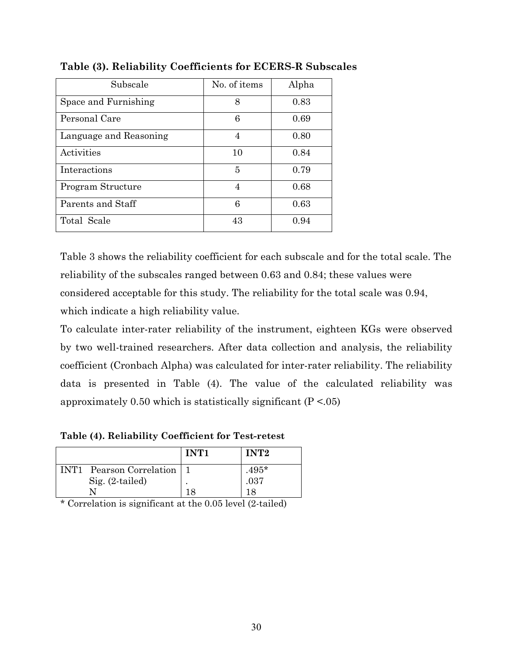| Subscale               | No. of items | Alpha |
|------------------------|--------------|-------|
| Space and Furnishing   | 8            | 0.83  |
| Personal Care          | 6            | 0.69  |
| Language and Reasoning | 4            | 0.80  |
| Activities             | 10           | 0.84  |
| Interactions           | 5            | 0.79  |
| Program Structure      | 4            | 0.68  |
| Parents and Staff      | 6            | 0.63  |
| Total Scale            | 43           | 0.94  |

Table (3). Reliability Coefficients for ECERS-R Subscales

Table 3 shows the reliability coefficient for each subscale and for the total scale. The reliability of the subscales ranged between 0.63 and 0.84; these values were considered acceptable for this study. The reliability for the total scale was 0.94, which indicate a high reliability value.

To calculate inter-rater reliability of the instrument, eighteen KGs were observed by two well-trained researchers. After data collection and analysis, the reliability coefficient (Cronbach Alpha) was calculated for inter-rater reliability. The reliability data is presented in Table (4). The value of the calculated reliability was approximately 0.50 which is statistically significant ( $P < 0.05$ )

Table (4). Reliability Coefficient for Test-retest

|                              | INT1 | INT <sub>2</sub> |
|------------------------------|------|------------------|
| INT1 Pearson Correlation   1 |      | $.495*$          |
| $Sig. (2-tailed)$            |      | .037             |
|                              | 18   |                  |

\* Correlation is significant at the 0.05 level (2-tailed)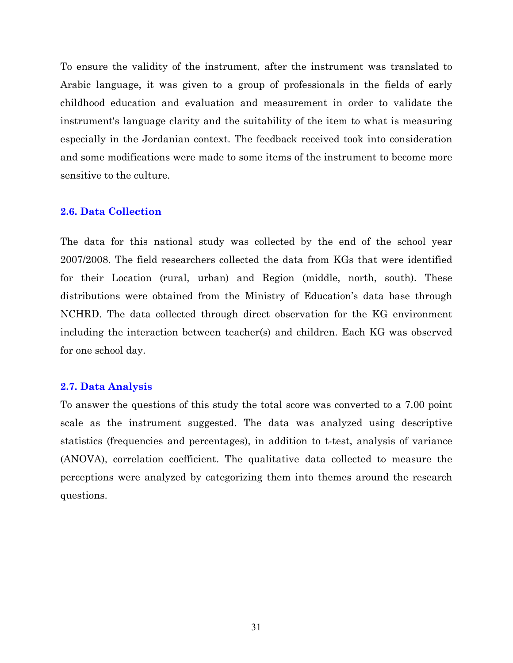To ensure the validity of the instrument, after the instrument was translated to Arabic language, it was given to a group of professionals in the fields of early childhood education and evaluation and measurement in order to validate the instrument's language clarity and the suitability of the item to what is measuring especially in the Jordanian context. The feedback received took into consideration and some modifications were made to some items of the instrument to become more sensitive to the culture.

#### **2.6. Data Collection**

The data for this national study was collected by the end of the school year 2007/2008. The field researchers collected the data from KGs that were identified for their Location (rural, urban) and Region (middle, north, south). These distributions were obtained from the Ministry of Education's data base through NCHRD. The data collected through direct observation for the KG environment including the interaction between teacher(s) and children. Each KG was observed for one school day.

#### 2.7. Data Analysis

To answer the questions of this study the total score was converted to a 7.00 point scale as the instrument suggested. The data was analyzed using descriptive statistics (frequencies and percentages), in addition to t-test, analysis of variance (ANOVA), correlation coefficient. The qualitative data collected to measure the perceptions were analyzed by categorizing them into themes around the research questions.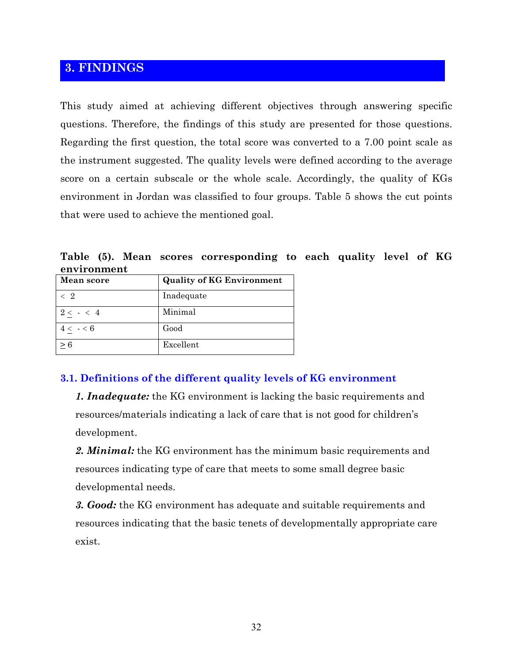# 3. FINDINGS

This study aimed at achieving different objectives through answering specific questions. Therefore, the findings of this study are presented for those questions. Regarding the first question, the total score was converted to a 7.00 point scale as the instrument suggested. The quality levels were defined according to the average score on a certain subscale or the whole scale. Accordingly, the quality of KGs environment in Jordan was classified to four groups. Table 5 shows the cut points that were used to achieve the mentioned goal.

Table (5). Mean scores corresponding to each quality level of KG environment

| Mean score  | <b>Quality of KG Environment</b> |
|-------------|----------------------------------|
| $\langle 2$ | Inadequate                       |
| $2 < - < 4$ | Minimal                          |
| $4 < - < 6$ | Good                             |
| > 6         | Excellent                        |

## 3.1. Definitions of the different quality levels of KG environment

**1. Inadequate:** the KG environment is lacking the basic requirements and resources/materials indicating a lack of care that is not good for children's development.

2. Minimal: the KG environment has the minimum basic requirements and resources indicating type of care that meets to some small degree basic developmental needs.

3. Good: the KG environment has adequate and suitable requirements and resources indicating that the basic tenets of developmentally appropriate care exist.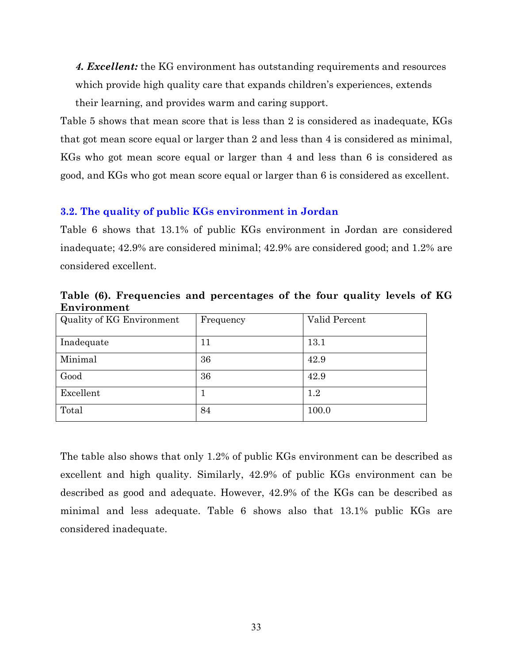4. Excellent: the KG environment has outstanding requirements and resources which provide high quality care that expands children's experiences, extends their learning, and provides warm and caring support.

Table 5 shows that mean score that is less than 2 is considered as inadequate, KGs that got mean score equal or larger than 2 and less than 4 is considered as minimal. KGs who got mean score equal or larger than 4 and less than 6 is considered as good, and KGs who got mean score equal or larger than 6 is considered as excellent.

## 3.2. The quality of public KGs environment in Jordan

Table 6 shows that 13.1% of public KGs environment in Jordan are considered inadequate; 42.9% are considered minimal; 42.9% are considered good; and 1.2% are considered excellent.

Table (6). Frequencies and percentages of the four quality levels of KG Environment

| Quality of KG Environment | Frequency | Valid Percent |
|---------------------------|-----------|---------------|
|                           |           |               |
| Inadequate                | 11        | 13.1          |
| Minimal                   | 36        | 42.9          |
| Good                      | 36        | 42.9          |
| Excellent                 |           | 1.2           |
| Total                     | 84        | 100.0         |

The table also shows that only 1.2% of public KGs environment can be described as excellent and high quality. Similarly, 42.9% of public KGs environment can be described as good and adequate. However, 42.9% of the KGs can be described as minimal and less adequate. Table 6 shows also that 13.1% public KGs are considered inadequate.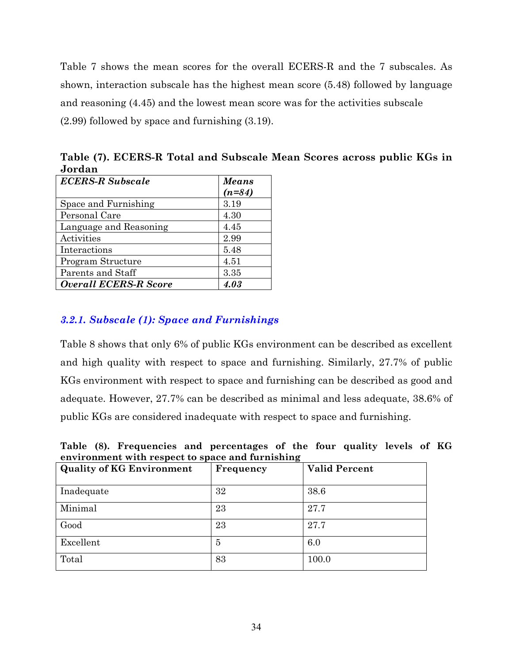Table 7 shows the mean scores for the overall ECERS-R and the 7 subscales. As shown, interaction subscale has the highest mean score (5.48) followed by language and reasoning (4.45) and the lowest mean score was for the activities subscale  $(2.99)$  followed by space and furnishing  $(3.19)$ .

| ovruall                      |                   |
|------------------------------|-------------------|
| <b>ECERS-R Subscale</b>      | Means<br>$(n=84)$ |
| Space and Furnishing         | 3.19              |
| Personal Care                | 4.30              |
| Language and Reasoning       | 4.45              |
| Activities                   | 2.99              |
| Interactions                 | 5.48              |
| Program Structure            | 4.51              |
| Parents and Staff            | 3.35              |
| <b>Overall ECERS-R Score</b> | 4.03              |

Table (7). ECERS-R Total and Subscale Mean Scores across public KGs in Jordan

## 3.2.1. Subscale (1): Space and Furnishings

Table 8 shows that only 6% of public KGs environment can be described as excellent and high quality with respect to space and furnishing. Similarly, 27.7% of public KGs environment with respect to space and furnishing can be described as good and adequate. However, 27.7% can be described as minimal and less adequate, 38.6% of public KGs are considered inadequate with respect to space and furnishing.

Table (8). Frequencies and percentages of the four quality levels of KG environment with respect to space and furnishing

| <b>Quality of KG Environment</b> | Frequency | <b>Valid Percent</b> |
|----------------------------------|-----------|----------------------|
| Inadequate                       | 32        | 38.6                 |
| Minimal                          | 23        | 27.7                 |
| Good                             | 23        | 27.7                 |
| Excellent                        | 5         | 6.0                  |
| Total                            | 83        | 100.0                |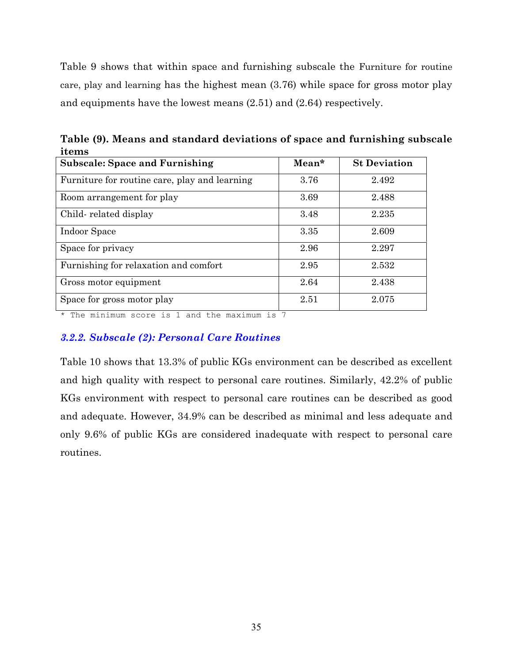Table 9 shows that within space and furnishing subscale the Furniture for routine care, play and learning has the highest mean (3.76) while space for gross motor play and equipments have the lowest means  $(2.51)$  and  $(2.64)$  respectively.

Table (9). Means and standard deviations of space and furnishing subscale items

| <b>Subscale: Space and Furnishing</b>         | $Mean*$ | <b>St Deviation</b> |
|-----------------------------------------------|---------|---------------------|
| Furniture for routine care, play and learning | 3.76    | 2.492               |
| Room arrangement for play                     | 3.69    | 2.488               |
| Child-related display                         | 3.48    | 2.235               |
| Indoor Space                                  | 3.35    | 2.609               |
| Space for privacy                             | 2.96    | 2.297               |
| Furnishing for relaxation and comfort         | 2.95    | 2.532               |
| Gross motor equipment                         | 2.64    | 2.438               |
| Space for gross motor play                    | 2.51    | 2.075               |

\* The minimum score is 1 and the maximum is 7

## 3.2.2. Subscale (2): Personal Care Routines

Table 10 shows that 13.3% of public KGs environment can be described as excellent and high quality with respect to personal care routines. Similarly, 42.2% of public KGs environment with respect to personal care routines can be described as good and adequate. However, 34.9% can be described as minimal and less adequate and only 9.6% of public KGs are considered inadequate with respect to personal care routines.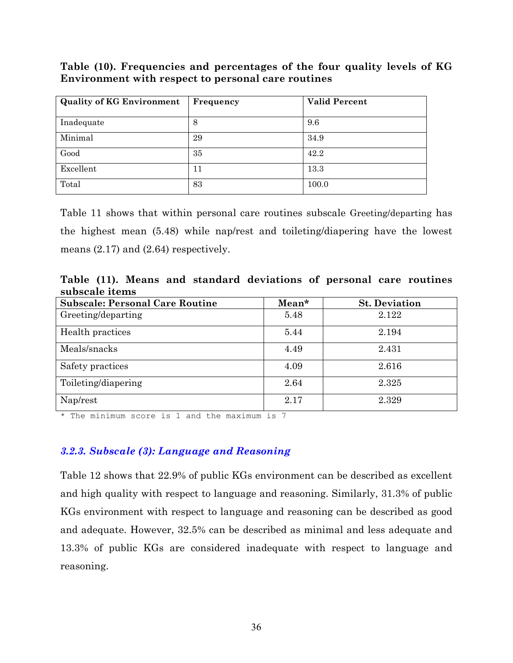Table (10). Frequencies and percentages of the four quality levels of KG Environment with respect to personal care routines

| <b>Quality of KG Environment</b> | Frequency | <b>Valid Percent</b> |
|----------------------------------|-----------|----------------------|
| Inadequate                       | 8         | 9.6                  |
| Minimal                          | 29        | 34.9                 |
| Good                             | 35        | 42.2                 |
| Excellent                        | 11        | 13.3                 |
| Total                            | 83        | 100.0                |

Table 11 shows that within personal care routines subscale Greeting/departing has the highest mean (5.48) while nap/rest and toileting/diapering have the lowest means  $(2.17)$  and  $(2.64)$  respectively.

Table (11). Means and standard deviations of personal care routines subscale items

| <b>Subscale: Personal Care Routine</b> | Mean* | <b>St. Deviation</b> |
|----------------------------------------|-------|----------------------|
| Greeting/departing                     | 5.48  | 2.122                |
| Health practices                       | 5.44  | 2.194                |
| Meals/snacks                           | 4.49  | 2.431                |
| Safety practices                       | 4.09  | 2.616                |
| Toileting/diapering                    | 2.64  | 2.325                |
| Nap/rest                               | 2.17  | 2.329                |

\* The minimum score is 1 and the maximum is 7

## 3.2.3. Subscale (3): Language and Reasoning

Table 12 shows that 22.9% of public KGs environment can be described as excellent and high quality with respect to language and reasoning. Similarly, 31.3% of public KGs environment with respect to language and reasoning can be described as good and adequate. However, 32.5% can be described as minimal and less adequate and 13.3% of public KGs are considered inadequate with respect to language and reasoning.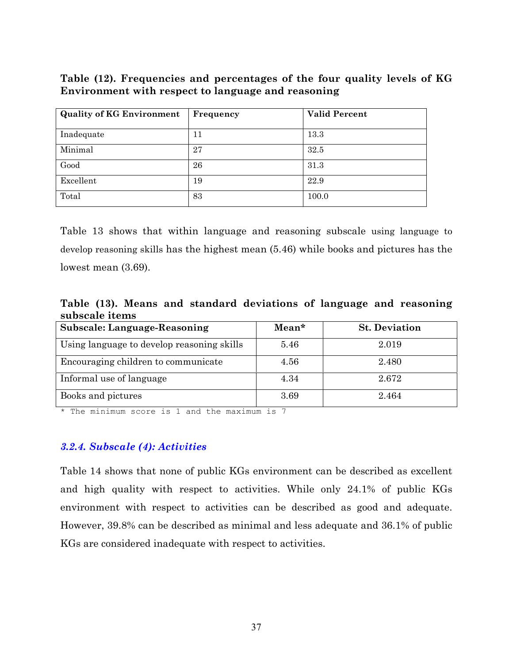Table (12). Frequencies and percentages of the four quality levels of KG Environment with respect to language and reasoning

| <b>Quality of KG Environment</b> | Frequency | <b>Valid Percent</b> |
|----------------------------------|-----------|----------------------|
| Inadequate                       | 11        | 13.3                 |
| Minimal                          | 27        | 32.5                 |
| Good                             | 26        | 31.3                 |
| Excellent                        | 19        | 22.9                 |
| Total                            | 83        | 100.0                |

Table 13 shows that within language and reasoning subscale using language to develop reasoning skills has the highest mean (5.46) while books and pictures has the lowest mean  $(3.69)$ .

Table (13). Means and standard deviations of language and reasoning subscale items

| <b>Subscale: Language-Reasoning</b>        | $Mean*$ | <b>St. Deviation</b> |
|--------------------------------------------|---------|----------------------|
| Using language to develop reasoning skills | 5.46    | 2.019                |
| Encouraging children to communicate        | 4.56    | 2.480                |
| Informal use of language                   | 4.34    | 2.672                |
| Books and pictures                         | 3.69    | 2.464                |

\* The minimum score is 1 and the maximum is 7

#### 3.2.4. Subscale (4): Activities

Table 14 shows that none of public KGs environment can be described as excellent and high quality with respect to activities. While only 24.1% of public KGs environment with respect to activities can be described as good and adequate. However, 39.8% can be described as minimal and less adequate and 36.1% of public KGs are considered inadequate with respect to activities.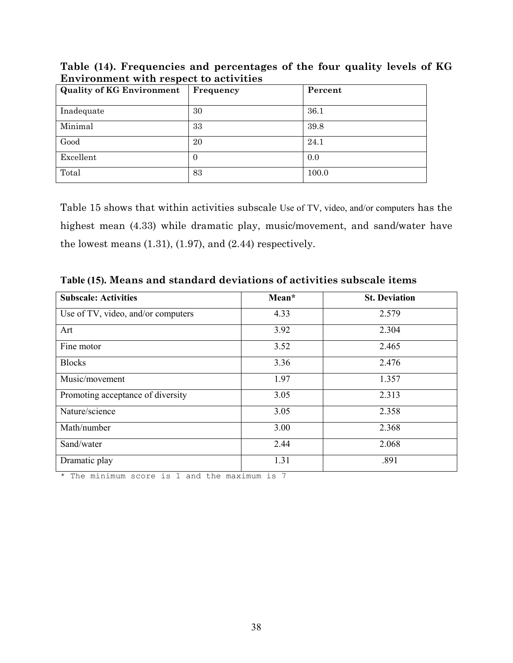| <b>Quality of KG Environment</b> | Frequency | Percent |  |  |
|----------------------------------|-----------|---------|--|--|
| Inadequate                       | 30        | 36.1    |  |  |
| Minimal                          | 33        | 39.8    |  |  |
| Good                             | 20        | 24.1    |  |  |
| Excellent                        | $\theta$  | 0.0     |  |  |
| Total                            | 83        | 100.0   |  |  |

Table (14). Frequencies and percentages of the four quality levels of KG **Environment with respect to activities** 

Table 15 shows that within activities subscale Use of TV, video, and/or computers has the highest mean (4.33) while dramatic play, music/movement, and sand/water have the lowest means  $(1.31)$ ,  $(1.97)$ , and  $(2.44)$  respectively.

| <b>Subscale: Activities</b>        | Mean* | <b>St. Deviation</b> |  |  |
|------------------------------------|-------|----------------------|--|--|
| Use of TV, video, and/or computers | 4.33  | 2.579                |  |  |
| Art                                | 3.92  | 2.304                |  |  |
| Fine motor                         | 3.52  | 2.465                |  |  |
| <b>Blocks</b>                      | 3.36  | 2.476                |  |  |
| Music/movement                     | 1.97  | 1.357                |  |  |
| Promoting acceptance of diversity  | 3.05  | 2.313                |  |  |
| Nature/science                     | 3.05  | 2.358                |  |  |
| Math/number                        | 3.00  | 2.368                |  |  |
| Sand/water                         | 2.44  | 2.068                |  |  |
| Dramatic play                      | 1.31  | .891                 |  |  |

Table (15). Means and standard deviations of activities subscale items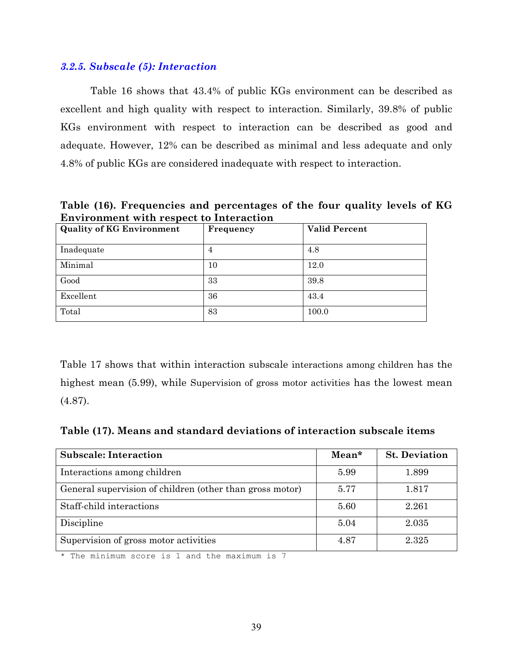#### 3.2.5. Subscale (5): Interaction

Table 16 shows that 43.4% of public KGs environment can be described as excellent and high quality with respect to interaction. Similarly, 39.8% of public KGs environment with respect to interaction can be described as good and adequate. However, 12% can be described as minimal and less adequate and only 4.8% of public KGs are considered inadequate with respect to interaction.

Table (16). Frequencies and percentages of the four quality levels of KG **Environment with respect to Interaction** 

| <b>Quality of KG Environment</b> | Frequency | <b>Valid Percent</b> |
|----------------------------------|-----------|----------------------|
| Inadequate                       | 4         | 4.8                  |
| Minimal                          | 10        | 12.0                 |
| Good                             | 33        | 39.8                 |
| Excellent                        | 36        | 43.4                 |
| Total                            | 83        | 100.0                |

Table 17 shows that within interaction subscale interactions among children has the highest mean (5.99), while Supervision of gross motor activities has the lowest mean  $(4.87).$ 

Table (17). Means and standard deviations of interaction subscale items

| <b>Subscale: Interaction</b>                             | Mean* | <b>St. Deviation</b> |
|----------------------------------------------------------|-------|----------------------|
| Interactions among children                              | 5.99  | 1.899                |
| General supervision of children (other than gross motor) | 5.77  | 1.817                |
| Staff-child interactions                                 | 5.60  | 2.261                |
| Discipline                                               | 5.04  | 2.035                |
| Supervision of gross motor activities                    | 4.87  | 2.325                |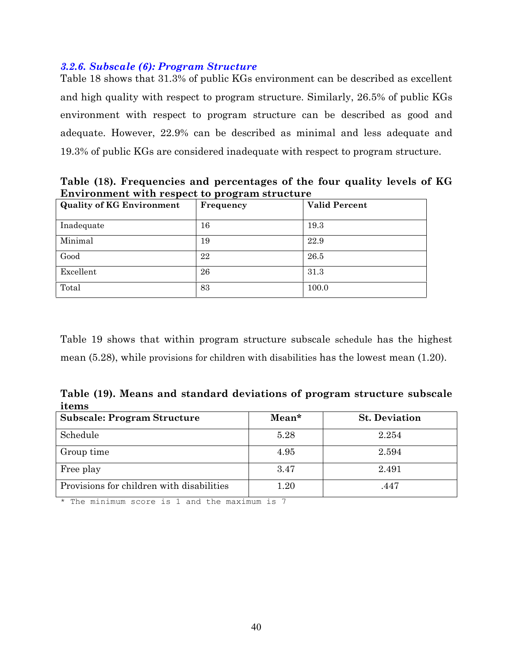#### 3.2.6. Subscale (6): Program Structure

Table 18 shows that 31.3% of public KGs environment can be described as excellent and high quality with respect to program structure. Similarly, 26.5% of public KGs environment with respect to program structure can be described as good and adequate. However, 22.9% can be described as minimal and less adequate and 19.3% of public KGs are considered inadequate with respect to program structure.

Table (18). Frequencies and percentages of the four quality levels of KG Environment with respect to program structure

| <b>Quality of KG Environment</b> | ິ<br>Frequency | <b>Valid Percent</b> |  |
|----------------------------------|----------------|----------------------|--|
| Inadequate                       | 16             | 19.3                 |  |
| Minimal                          | 19             | 22.9                 |  |
| Good                             | 22             | 26.5                 |  |
| Excellent                        | 26             | 31.3                 |  |
| Total                            | 83             | 100.0                |  |

Table 19 shows that within program structure subscale schedule has the highest mean  $(5.28)$ , while provisions for children with disabilities has the lowest mean  $(1.20)$ .

Table (19). Means and standard deviations of program structure subscale items

| <b>Subscale: Program Structure</b>        | Mean*    | <b>St. Deviation</b> |
|-------------------------------------------|----------|----------------------|
| Schedule                                  | 5.28     | 2.254                |
| Group time                                | 4.95     | 2.594                |
| Free play                                 | 3.47     | 2.491                |
| Provisions for children with disabilities | $1.20\,$ | .447                 |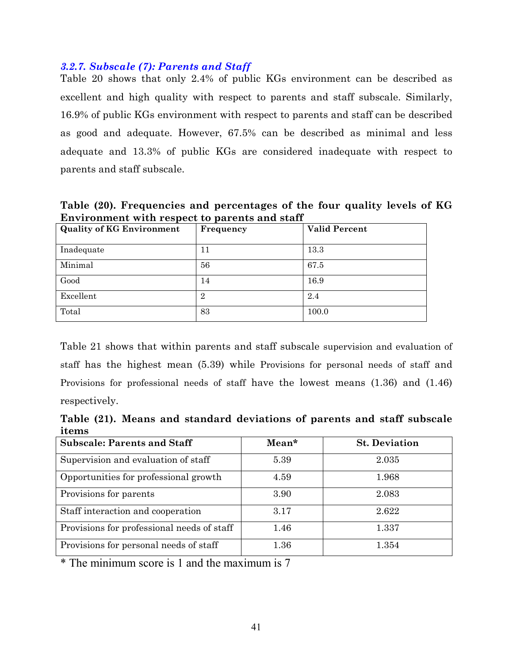#### 3.2.7. Subscale (7): Parents and Staff

Table 20 shows that only 2.4% of public KGs environment can be described as excellent and high quality with respect to parents and staff subscale. Similarly, 16.9% of public KGs environment with respect to parents and staff can be described as good and adequate. However, 67.5% can be described as minimal and less adequate and 13.3% of public KGs are considered inadequate with respect to parents and staff subscale.

Table (20). Frequencies and percentages of the four quality levels of KG Environment with respect to parents and staff

| <b>Quality of KG Environment</b> | Frequency      | <b>Valid Percent</b> |  |
|----------------------------------|----------------|----------------------|--|
| Inadequate                       | 11             | 13.3                 |  |
| Minimal                          | 56             | 67.5                 |  |
| Good                             | 14             | 16.9                 |  |
| Excellent                        | $\overline{2}$ | 2.4                  |  |
| Total                            | 83             | 100.0                |  |

Table 21 shows that within parents and staff subscale supervision and evaluation of staff has the highest mean (5.39) while Provisions for personal needs of staff and Provisions for professional needs of staff have the lowest means  $(1.36)$  and  $(1.46)$ respectively.

Table (21). Means and standard deviations of parents and staff subscale items

| <b>Subscale: Parents and Staff</b>         | $Mean*$ | <b>St. Deviation</b> |
|--------------------------------------------|---------|----------------------|
| Supervision and evaluation of staff        | 5.39    | 2.035                |
| Opportunities for professional growth      | 4.59    | 1.968                |
| Provisions for parents                     | 3.90    | 2.083                |
| Staff interaction and cooperation          | 3.17    | 2.622                |
| Provisions for professional needs of staff | 1.46    | 1.337                |
| Provisions for personal needs of staff     | 1.36    | 1.354                |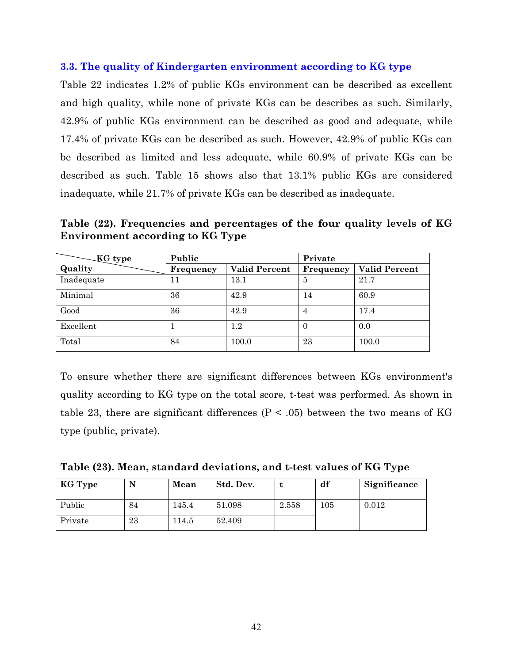#### 3.3. The quality of Kindergarten environment according to KG type

Table 22 indicates 1.2% of public KGs environment can be described as excellent and high quality, while none of private KGs can be describes as such. Similarly, 42.9% of public KGs environment can be described as good and adequate, while 17.4% of private KGs can be described as such. However, 42.9% of public KGs can be described as limited and less adequate, while 60.9% of private KGs can be described as such. Table 15 shows also that 13.1% public KGs are considered inadequate, while 21.7% of private KGs can be described as inadequate.

Table (22). Frequencies and percentages of the four quality levels of KG **Environment according to KG Type** 

| <b>KG</b> type | Public    |                      | Private   |                      |  |
|----------------|-----------|----------------------|-----------|----------------------|--|
| Quality        | Frequency | <b>Valid Percent</b> | Frequency | <b>Valid Percent</b> |  |
| Inadequate     | 11        | 13.1                 | 5         | 21.7                 |  |
| Minimal        | 36        | 42.9                 | 14        | 60.9                 |  |
| Good           | 36        | 42.9                 | 4         | 17.4                 |  |
| Excellent      |           | $1.2\,$              | 0         | 0.0                  |  |
| Total          | 84        | 100.0                | 23        | 100.0                |  |

To ensure whether there are significant differences between KGs environment's quality according to KG type on the total score, t-test was performed. As shown in table 23, there are significant differences ( $P < .05$ ) between the two means of KG type (public, private).

| Table (23). Mean, standard deviations, and t-test values of KG Type |  |  |  |  |  |
|---------------------------------------------------------------------|--|--|--|--|--|
|---------------------------------------------------------------------|--|--|--|--|--|

| KG Type |    | Mean  | Std. Dev. |       | df  | Significance |
|---------|----|-------|-----------|-------|-----|--------------|
| Public  | 84 | 145.4 | 51.098    | 2.558 | 105 | 0.012        |
| Private | 23 | 114.5 | 52.409    |       |     |              |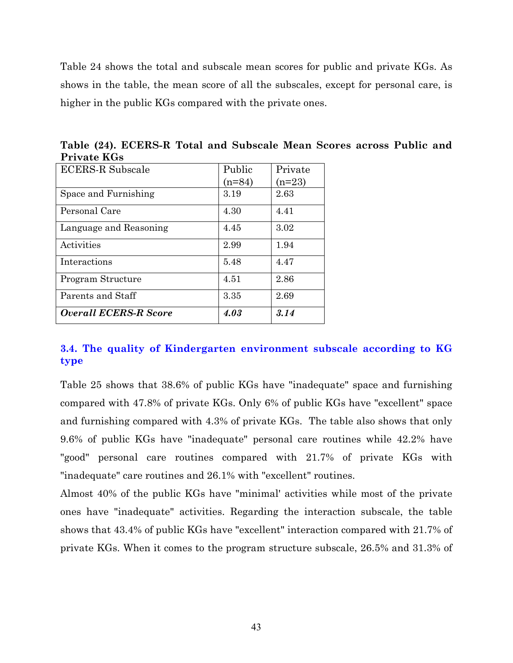Table 24 shows the total and subscale mean scores for public and private KGs. As shows in the table, the mean score of all the subscales, except for personal care, is higher in the public KGs compared with the private ones.

| <b>ECERS-R Subscale</b>      | Public   | Private  |
|------------------------------|----------|----------|
|                              | $(n=84)$ | $(n=23)$ |
| Space and Furnishing         | 3.19     | 2.63     |
| Personal Care                | 4.30     | 4.41     |
| Language and Reasoning       | 4.45     | 3.02     |
| Activities                   | 2.99     | 1.94     |
| Interactions                 | 5.48     | 4.47     |
| Program Structure            | 4.51     | 2.86     |
| Parents and Staff            | 3.35     | 2.69     |
| <b>Overall ECERS-R Score</b> | 4.03     | 3.14     |

Table (24). ECERS-R Total and Subscale Mean Scores across Public and **Private KGs** 

## 3.4. The quality of Kindergarten environment subscale according to KG type

Table 25 shows that 38.6% of public KGs have "inadequate" space and furnishing compared with 47.8% of private KGs. Only 6% of public KGs have "excellent" space and furnishing compared with 4.3% of private KGs. The table also shows that only 9.6% of public KGs have "inadequate" personal care routines while 42.2% have "good" personal care routines compared with 21.7% of private KGs with "inadequate" care routines and 26.1% with "excellent" routines.

Almost 40% of the public KGs have "minimal" activities while most of the private ones have "inadequate" activities. Regarding the interaction subscale, the table shows that 43.4% of public KGs have "excellent" interaction compared with 21.7% of private KGs. When it comes to the program structure subscale, 26.5% and 31.3% of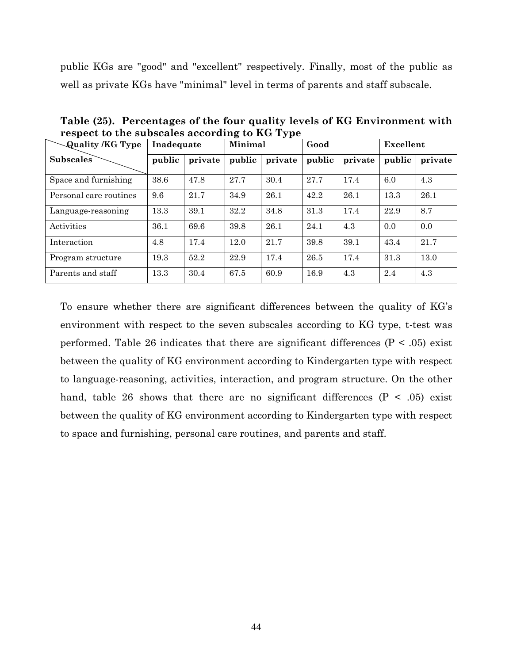public KGs are "good" and "excellent" respectively. Finally, most of the public as well as private KGs have "minimal" level in terms of parents and staff subscale.

| <b>Quality /KG Type</b> | Inadequate |         | Minimal |         | Good   |         | Excellent |         |
|-------------------------|------------|---------|---------|---------|--------|---------|-----------|---------|
| <b>Subscales</b>        | public     | private | public  | private | public | private | public    | private |
| Space and furnishing    | 38.6       | 47.8    | 27.7    | 30.4    | 27.7   | 17.4    | 6.0       | 4.3     |
| Personal care routines  | 9.6        | 21.7    | 34.9    | 26.1    | 42.2   | 26.1    | 13.3      | 26.1    |
| Language-reasoning      | 13.3       | 39.1    | 32.2    | 34.8    | 31.3   | 17.4    | 22.9      | 8.7     |
| Activities              | 36.1       | 69.6    | 39.8    | 26.1    | 24.1   | 4.3     | 0.0       | 0.0     |
| Interaction             | 4.8        | 17.4    | 12.0    | 21.7    | 39.8   | 39.1    | 43.4      | 21.7    |
| Program structure       | 19.3       | 52.2    | 22.9    | 17.4    | 26.5   | 17.4    | 31.3      | 13.0    |
| Parents and staff       | 13.3       | 30.4    | 67.5    | 60.9    | 16.9   | 4.3     | 2.4       | 4.3     |

Table (25). Percentages of the four quality levels of KG Environment with respect to the subscales according to KG Type

To ensure whether there are significant differences between the quality of KG's environment with respect to the seven subscales according to KG type, t-test was performed. Table 26 indicates that there are significant differences  $(P < .05)$  exist between the quality of KG environment according to Kindergarten type with respect to language-reasoning, activities, interaction, and program structure. On the other hand, table 26 shows that there are no significant differences  $(P < .05)$  exist between the quality of KG environment according to Kindergarten type with respect to space and furnishing, personal care routines, and parents and staff.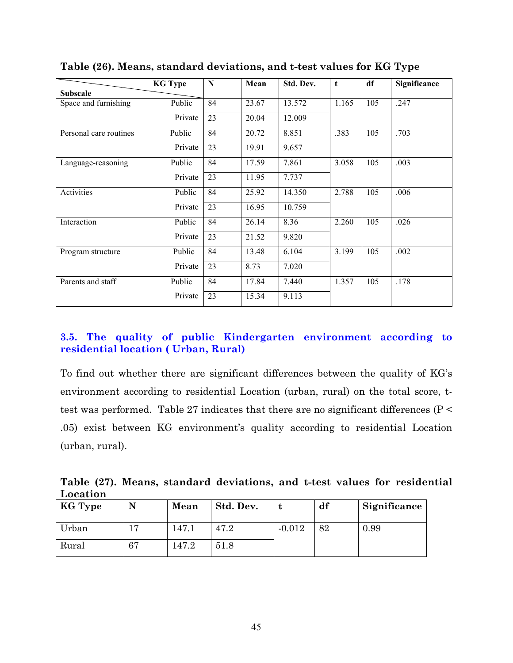|                        | <b>KG Type</b> | N  | Mean  | Std. Dev. | $\mathbf t$ | df  | Significance |
|------------------------|----------------|----|-------|-----------|-------------|-----|--------------|
| <b>Subscale</b>        |                |    |       |           |             |     |              |
| Space and furnishing   | Public         | 84 | 23.67 | 13.572    | 1.165       | 105 | .247         |
|                        | Private        | 23 | 20.04 | 12.009    |             |     |              |
| Personal care routines | Public         | 84 | 20.72 | 8.851     | .383        | 105 | .703         |
|                        | Private        | 23 | 19.91 | 9.657     |             |     |              |
| Language-reasoning     | Public         | 84 | 17.59 | 7.861     | 3.058       | 105 | .003         |
|                        | Private        | 23 | 11.95 | 7.737     |             |     |              |
| Activities             | Public         | 84 | 25.92 | 14.350    | 2.788       | 105 | .006         |
|                        | Private        | 23 | 16.95 | 10.759    |             |     |              |
| Interaction            | Public         | 84 | 26.14 | 8.36      | 2.260       | 105 | .026         |
|                        | Private        | 23 | 21.52 | 9.820     |             |     |              |
| Program structure      | Public         | 84 | 13.48 | 6.104     | 3.199       | 105 | .002         |
|                        | Private        | 23 | 8.73  | 7.020     |             |     |              |
| Parents and staff      | Public         | 84 | 17.84 | 7.440     | 1.357       | 105 | .178         |
|                        | Private        | 23 | 15.34 | 9.113     |             |     |              |

Table (26). Means, standard deviations, and t-test values for KG Type

## 3.5. The quality of public Kindergarten environment according to residential location (Urban, Rural)

To find out whether there are significant differences between the quality of KG's environment according to residential Location (urban, rural) on the total score, ttest was performed. Table 27 indicates that there are no significant differences ( $P \leq$ .05) exist between KG environment's quality according to residential Location (urban, rural).

Table (27). Means, standard deviations, and t-test values for residential Location

| <b>KG Type</b> |    | Mean  | Std. Dev. |          | df | Significance |
|----------------|----|-------|-----------|----------|----|--------------|
| Urban          |    | 147.1 | 47.2      | $-0.012$ | 82 | 0.99         |
| Rural          | 67 | 147.2 | 51.8      |          |    |              |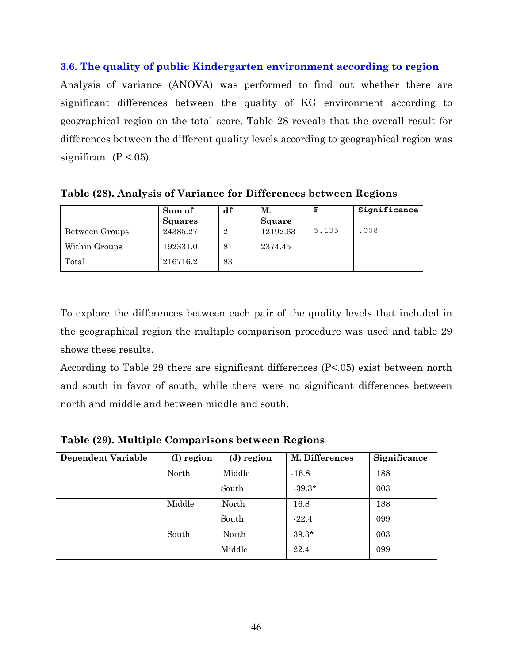#### 3.6. The quality of public Kindergarten environment according to region

Analysis of variance (ANOVA) was performed to find out whether there are significant differences between the quality of KG environment according to geographical region on the total score. Table 28 reveals that the overall result for differences between the different quality levels according to geographical region was significant ( $P < 0.05$ ).

Table (28). Analysis of Variance for Differences between Regions

|                | Sum of   | df             | М.            | F     | Significance |
|----------------|----------|----------------|---------------|-------|--------------|
|                | Squares  |                | <b>Square</b> |       |              |
| Between Groups | 24385.27 | $\overline{2}$ | 12192.63      | 5.135 | .008         |
| Within Groups  | 192331.0 | 81             | 2374.45       |       |              |
| Total          | 216716.2 | 83             |               |       |              |

To explore the differences between each pair of the quality levels that included in the geographical region the multiple comparison procedure was used and table 29 shows these results.

According to Table 29 there are significant differences  $(P<.05)$  exist between north and south in favor of south, while there were no significant differences between north and middle and between middle and south.

| <b>Dependent Variable</b> | (I) region | (J) region | M. Differences | Significance |
|---------------------------|------------|------------|----------------|--------------|
|                           | North      | Middle     | $-16.8$        | .188         |
|                           |            | South      | $-39.3*$       | .003         |
|                           | Middle     | North      | 16.8           | .188         |
|                           |            | South      | $-22.4$        | .099         |
|                           | South      | North      | $39.3*$        | .003         |
|                           |            | Middle     | 22.4           | .099         |

Table (29). Multiple Comparisons between Regions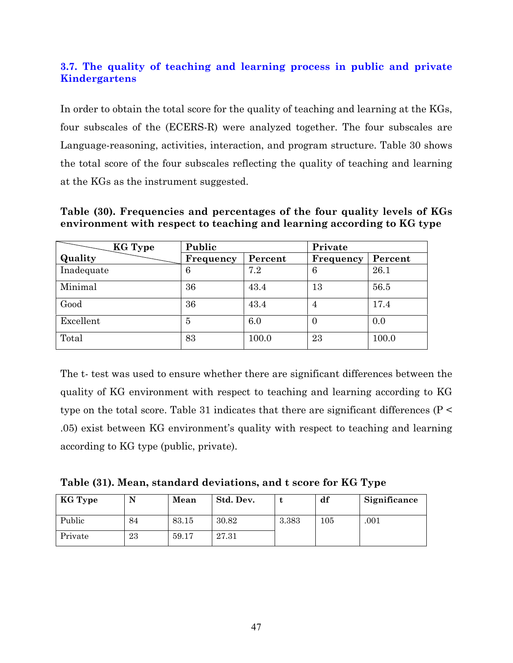# 3.7. The quality of teaching and learning process in public and private Kindergartens

In order to obtain the total score for the quality of teaching and learning at the KGs, four subscales of the (ECERS-R) were analyzed together. The four subscales are Language-reasoning, activities, interaction, and program structure. Table 30 shows the total score of the four subscales reflecting the quality of teaching and learning at the KGs as the instrument suggested.

| KG Type    | Public    |         | Private   |         |  |
|------------|-----------|---------|-----------|---------|--|
| Quality    | Frequency | Percent | Frequency | Percent |  |
| Inadequate | 6         | 7.2     | 6         | 26.1    |  |
| Minimal    | 36        | 43.4    | 13        | 56.5    |  |
| Good       | 36        | 43.4    | 4         | 17.4    |  |
| Excellent  | 5         | 6.0     | $\theta$  | 0.0     |  |
| Total      | 83        | 100.0   | 23        | 100.0   |  |

Table (30). Frequencies and percentages of the four quality levels of KGs environment with respect to teaching and learning according to KG type

The t- test was used to ensure whether there are significant differences between the quality of KG environment with respect to teaching and learning according to KG type on the total score. Table 31 indicates that there are significant differences ( $P \leq$ .05) exist between KG environment's quality with respect to teaching and learning according to KG type (public, private).

Table (31). Mean, standard deviations, and t score for KG Type

| KG Type |    | Mean  | Std. Dev. |       | df  | Significance |
|---------|----|-------|-----------|-------|-----|--------------|
| Public  | 84 | 83.15 | 30.82     | 3.383 | 105 | .001         |
| Private | 23 | 59.17 | 27.31     |       |     |              |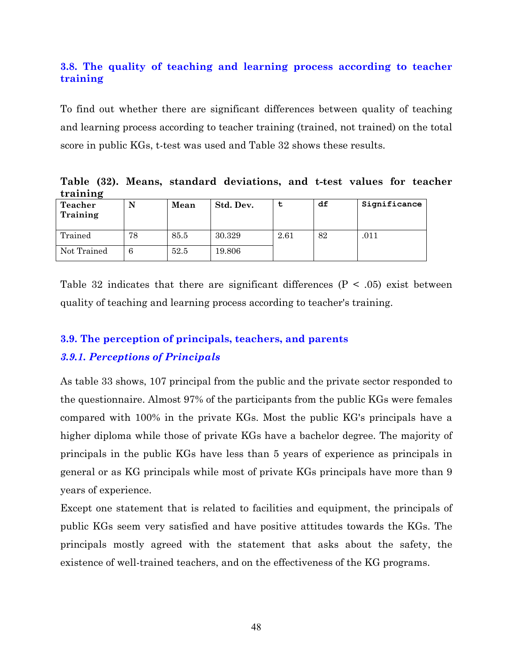## 3.8. The quality of teaching and learning process according to teacher training

To find out whether there are significant differences between quality of teaching and learning process according to teacher training (trained, not trained) on the total score in public KGs, t-test was used and Table 32 shows these results.

Table (32). Means, standard deviations, and t-test values for teacher training

| -<br><b>Teacher</b><br>Training | N  | Mean | Std. Dev. |      | df | Significance |
|---------------------------------|----|------|-----------|------|----|--------------|
| Trained                         | 78 | 85.5 | 30.329    | 2.61 | 82 | .011         |
| Not Trained                     |    | 52.5 | 19.806    |      |    |              |

Table 32 indicates that there are significant differences ( $P < .05$ ) exist between quality of teaching and learning process according to teacher's training.

# 3.9. The perception of principals, teachers, and parents

## **3.9.1. Perceptions of Principals**

As table 33 shows, 107 principal from the public and the private sector responded to the questionnaire. Almost 97% of the participants from the public KGs were females compared with 100% in the private KGs. Most the public KG's principals have a higher diploma while those of private KGs have a bachelor degree. The majority of principals in the public KGs have less than 5 years of experience as principals in general or as KG principals while most of private KGs principals have more than 9 years of experience.

Except one statement that is related to facilities and equipment, the principals of public KGs seem very satisfied and have positive attitudes towards the KGs. The principals mostly agreed with the statement that asks about the safety, the existence of well-trained teachers, and on the effectiveness of the KG programs.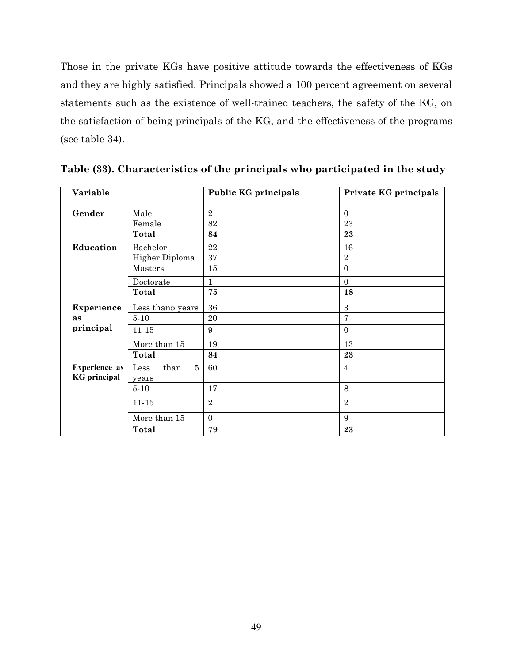Those in the private KGs have positive attitude towards the effectiveness of KGs and they are highly satisfied. Principals showed a 100 percent agreement on several statements such as the existence of well-trained teachers, the safety of the KG, on the satisfaction of being principals of the KG, and the effectiveness of the programs (see table 34).

| Variable                                    |                                      | <b>Public KG principals</b> | Private KG principals |
|---------------------------------------------|--------------------------------------|-----------------------------|-----------------------|
| Gender                                      | Male                                 | $\overline{2}$              | $\Omega$              |
|                                             | Female                               | 82                          | 23                    |
|                                             | Total                                | 84                          | 23                    |
| Education                                   | Bachelor                             | 22                          | 16                    |
|                                             | Higher Diploma                       | 37                          | $\overline{2}$        |
|                                             | Masters                              | 15                          | $\Omega$              |
|                                             | Doctorate                            | 1                           | $\Omega$              |
|                                             | <b>Total</b>                         | 75                          | 18                    |
| Experience                                  | Less than5 years                     | 36                          | 3                     |
| as                                          | $5-10$                               | 20                          | 7                     |
| principal                                   | $11 - 15$                            | 9                           | $\Omega$              |
|                                             | More than 15                         | 19                          | 13                    |
|                                             | <b>Total</b>                         | 84                          | 23                    |
| <b>Experience as</b><br><b>KG</b> principal | $5^{\circ}$<br>Less<br>than<br>years | 60                          | $\overline{4}$        |
|                                             | $5 - 10$                             | 17                          | 8                     |
|                                             | $11 - 15$                            | $\overline{2}$              | $\overline{2}$        |
|                                             | More than 15                         | $\boldsymbol{0}$            | 9                     |
|                                             | Total                                | 79                          | 23                    |

Table (33). Characteristics of the principals who participated in the study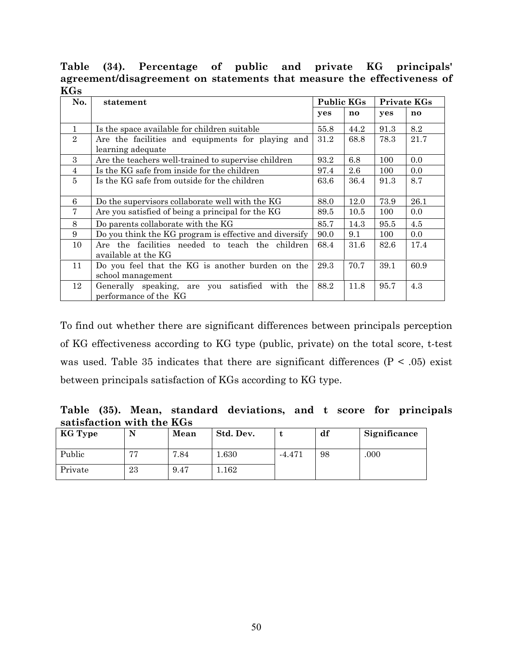Percentage of public and private Table  $(34).$  $\mathbf{KG}$ principals' agreement/disagreement on statements that measure the effectiveness of  $KGs$ 

| No.            | statement                                              | Public KGs |      |      | Private KGs |
|----------------|--------------------------------------------------------|------------|------|------|-------------|
|                |                                                        | yes        | no   | yes  | no          |
| 1              | Is the space available for children suitable           | 55.8       | 44.2 | 91.3 | 8.2         |
| $\overline{2}$ | Are the facilities and equipments for playing and      | 31.2       | 68.8 | 78.3 | 21.7        |
|                | learning adequate                                      |            |      |      |             |
| 3              | Are the teachers well-trained to supervise children    | 93.2       | 6.8  | 100  | 0.0         |
| 4              | Is the KG safe from inside for the children            | 97.4       | 2.6  | 100  | 0.0         |
| 5              | Is the KG safe from outside for the children           | 63.6       | 36.4 | 91.3 | 8.7         |
|                |                                                        |            |      |      |             |
| 6              | Do the supervisors collaborate well with the KG        | 88.0       | 12.0 | 73.9 | 26.1        |
| 7              | Are you satisfied of being a principal for the KG      | 89.5       | 10.5 | 100  | $0.0\,$     |
| 8              | Do parents collaborate with the KG                     | 85.7       | 14.3 | 95.5 | 4.5         |
| 9              | Do you think the KG program is effective and diversify | 90.0       | 9.1  | 100  | 0.0         |
| 10             | Are the facilities needed to teach the children        | 68.4       | 31.6 | 82.6 | 17.4        |
|                | available at the KG                                    |            |      |      |             |
| 11             | Do you feel that the KG is another burden on the       | 29.3       | 70.7 | 39.1 | 60.9        |
|                | school management                                      |            |      |      |             |
| 12             | Generally speaking, are you satisfied with<br>the      | 88.2       | 11.8 | 95.7 | 4.3         |
|                | performance of the KG                                  |            |      |      |             |

To find out whether there are significant differences between principals perception of KG effectiveness according to KG type (public, private) on the total score, t-test was used. Table 35 indicates that there are significant differences ( $P < .05$ ) exist between principals satisfaction of KGs according to KG type.

Table (35). Mean, standard deviations, and t score for principals satisfaction with the KGs

| KG Type |             | Mean | Std. Dev. |          | df | Significance |
|---------|-------------|------|-----------|----------|----|--------------|
| Public  | <b>6767</b> | 7.84 | 0.630     | $-4.471$ | 98 | .000         |
| Private | 23          | 9.47 | 1.162     |          |    |              |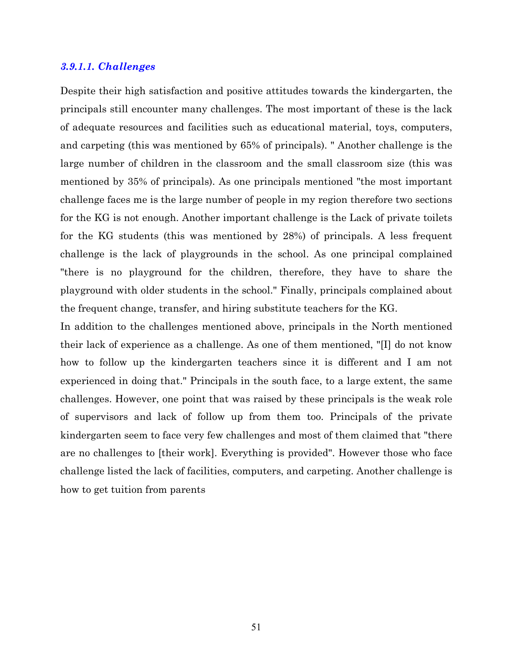#### 3.9.1.1. Challenges

Despite their high satisfaction and positive attitudes towards the kindergarten, the principals still encounter many challenges. The most important of these is the lack of adequate resources and facilities such as educational material, toys, computers, and carpeting (this was mentioned by 65% of principals). "Another challenge is the large number of children in the classroom and the small classroom size (this was mentioned by 35% of principals). As one principals mentioned "the most important" challenge faces me is the large number of people in my region therefore two sections for the KG is not enough. Another important challenge is the Lack of private toilets for the KG students (this was mentioned by 28%) of principals. A less frequent challenge is the lack of playgrounds in the school. As one principal complained "there is no playground for the children, therefore, they have to share the playground with older students in the school." Finally, principals complained about the frequent change, transfer, and hiring substitute teachers for the KG.

In addition to the challenges mentioned above, principals in the North mentioned their lack of experience as a challenge. As one of them mentioned, "[I] do not know how to follow up the kindergarten teachers since it is different and I am not experienced in doing that." Principals in the south face, to a large extent, the same challenges. However, one point that was raised by these principals is the weak role of supervisors and lack of follow up from them too. Principals of the private kindergarten seem to face very few challenges and most of them claimed that "there" are no challenges to [their work]. Everything is provided". However those who face challenge listed the lack of facilities, computers, and carpeting. Another challenge is how to get tuition from parents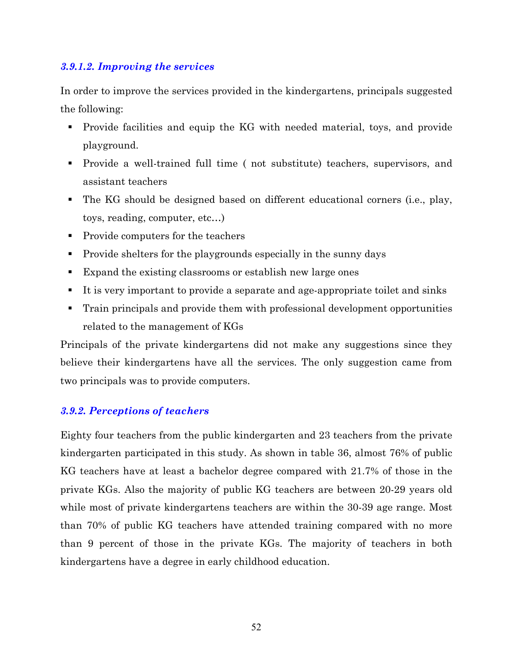## 3.9.1.2. Improving the services

In order to improve the services provided in the kindergartens, principals suggested the following:

- Provide facilities and equip the KG with needed material, toys, and provide playground.
- Provide a well-trained full time (not substitute) teachers, supervisors, and assistant teachers
- The KG should be designed based on different educational corners (i.e., play, toys, reading, computer, etc...)
- Provide computers for the teachers
- Provide shelters for the playgrounds especially in the sunny days
- Expand the existing classrooms or establish new large ones
- It is very important to provide a separate and age-appropriate toilet and sinks
- Train principals and provide them with professional development opportunities related to the management of KGs

Principals of the private kindergartens did not make any suggestions since they believe their kindergartens have all the services. The only suggestion came from two principals was to provide computers.

#### **3.9.2. Perceptions of teachers**

Eighty four teachers from the public kindergarten and 23 teachers from the private kindergarten participated in this study. As shown in table 36, almost 76% of public KG teachers have at least a bachelor degree compared with 21.7% of those in the private KGs. Also the majority of public KG teachers are between 20-29 years old while most of private kindergartens teachers are within the 30-39 age range. Most than 70% of public KG teachers have attended training compared with no more than 9 percent of those in the private KGs. The majority of teachers in both kindergartens have a degree in early childhood education.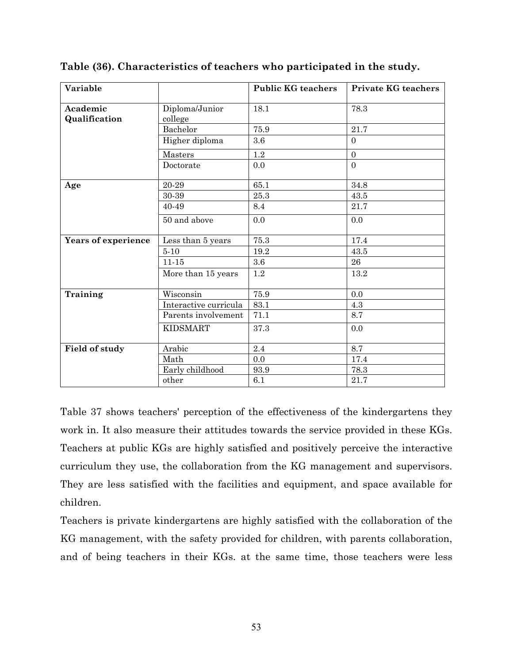| Variable                  |                           | <b>Public KG teachers</b> | <b>Private KG teachers</b> |
|---------------------------|---------------------------|---------------------------|----------------------------|
| Academic<br>Qualification | Diploma/Junior<br>college | 18.1                      | 78.3                       |
|                           | Bachelor                  | $75.9\,$                  | $21.7\,$                   |
|                           | Higher diploma            | 3.6                       | $\overline{0}$             |
|                           | Masters                   | $1.2\,$                   | $\boldsymbol{0}$           |
|                           | Doctorate                 | 0.0                       | $\Omega$                   |
| Age                       | 20-29                     | 65.1                      | 34.8                       |
|                           | 30-39                     | 25.3                      | 43.5                       |
|                           | 40-49                     | 8.4                       | 21.7                       |
|                           | 50 and above              | 0.0                       | 0.0                        |
| Years of experience       | Less than 5 years         | 75.3                      | 17.4                       |
|                           | $5 - 10$                  | 19.2                      | 43.5                       |
|                           | $11 - 15$                 | 3.6                       | 26                         |
|                           | More than 15 years        | 1.2                       | 13.2                       |
| Training                  | Wisconsin                 | 75.9                      | 0.0                        |
|                           | Interactive curricula     | 83.1                      | 4.3                        |
|                           | Parents involvement       | 71.1                      | 8.7                        |
|                           | <b>KIDSMART</b>           | 37.3                      | 0.0                        |
| Field of study            | Arabic                    | 2.4                       | 8.7                        |
|                           | Math                      | 0.0                       | 17.4                       |
|                           | Early childhood           | 93.9                      | 78.3                       |
|                           | other                     | 6.1                       | 21.7                       |

Table (36). Characteristics of teachers who participated in the study.

Table 37 shows teachers' perception of the effectiveness of the kindergartens they work in. It also measure their attitudes towards the service provided in these KGs. Teachers at public KGs are highly satisfied and positively perceive the interactive curriculum they use, the collaboration from the KG management and supervisors. They are less satisfied with the facilities and equipment, and space available for children.

Teachers is private kindergartens are highly satisfied with the collaboration of the KG management, with the safety provided for children, with parents collaboration, and of being teachers in their KGs. at the same time, those teachers were less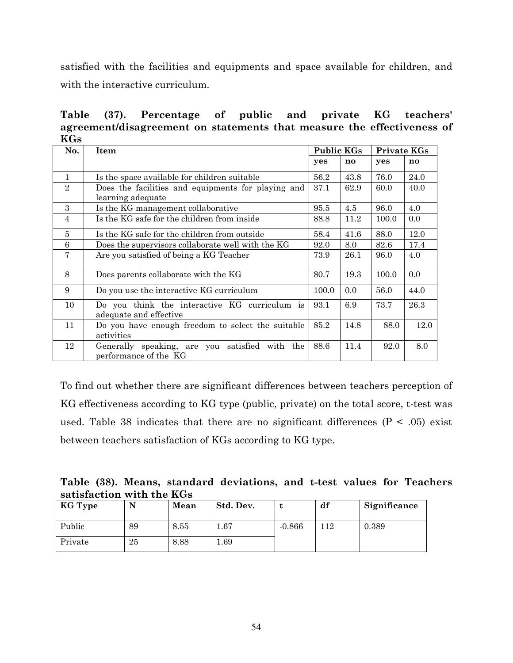satisfied with the facilities and equipments and space available for children, and with the interactive curriculum.

public Table Percentage of and private KG teachers'  $(37).$ agreement/disagreement on statements that measure the effectiveness of **KGs** 

| No.            | <b>Item</b>                                                                   | <b>Public KGs</b> |               | <b>Private KGs</b> |               |
|----------------|-------------------------------------------------------------------------------|-------------------|---------------|--------------------|---------------|
|                |                                                                               | yes               | $\mathbf{no}$ | yes                | $\mathbf{no}$ |
| 1              | Is the space available for children suitable                                  | 56.2              | 43.8          | 76.0               | 24.0          |
| $\overline{2}$ | Does the facilities and equipments for playing and<br>learning adequate       | 37.1              | 62.9          | 60.0               | 40.0          |
| 3              | Is the KG management collaborative                                            | 95.5              | 4.5           | 96.0               | 4.0           |
| $\overline{4}$ | Is the KG safe for the children from inside                                   | 88.8              | 11.2          | 100.0              | 0.0           |
| 5              | Is the KG safe for the children from outside                                  | 58.4              | 41.6          | 88.0               | 12.0          |
| 6              | Does the supervisors collaborate well with the KG                             | 92.0              | 8.0           | 82.6               | 17.4          |
| $\overline{7}$ | Are you satisfied of being a KG Teacher                                       | 73.9              | 26.1          | 96.0               | 4.0           |
| 8              | Does parents collaborate with the KG                                          | 80.7              | 19.3          | 100.0              | 0.0           |
| 9              | Do you use the interactive KG curriculum                                      | 100.0             | 0.0           | 56.0               | 44.0          |
| 10             | Do you think the interactive KG curriculum is<br>adequate and effective       | 93.1              | 6.9           | 73.7               | 26.3          |
| 11             | Do you have enough freedom to select the suitable<br>activities               | 85.2              | 14.8          | 88.0               | 12.0          |
| 12             | Generally speaking, are you<br>satisfied with<br>the<br>performance of the KG | 88.6              | 11.4          | 92.0               | 8.0           |

To find out whether there are significant differences between teachers perception of KG effectiveness according to KG type (public, private) on the total score, t-test was used. Table 38 indicates that there are no significant differences ( $P < .05$ ) exist between teachers satisfaction of KGs according to KG type.

|  |                           | Table (38). Means, standard deviations, and t-test values for Teachers |  |  |  |
|--|---------------------------|------------------------------------------------------------------------|--|--|--|
|  | satisfaction with the KGs |                                                                        |  |  |  |

| KG Type |    | Mean | Std. Dev. |          | df  | Significance |
|---------|----|------|-----------|----------|-----|--------------|
| Public  | 89 | 8.55 | $1.67\,$  | $-0.866$ | 112 | 0.389        |
| Private | 25 | 8.88 | . 69      |          |     |              |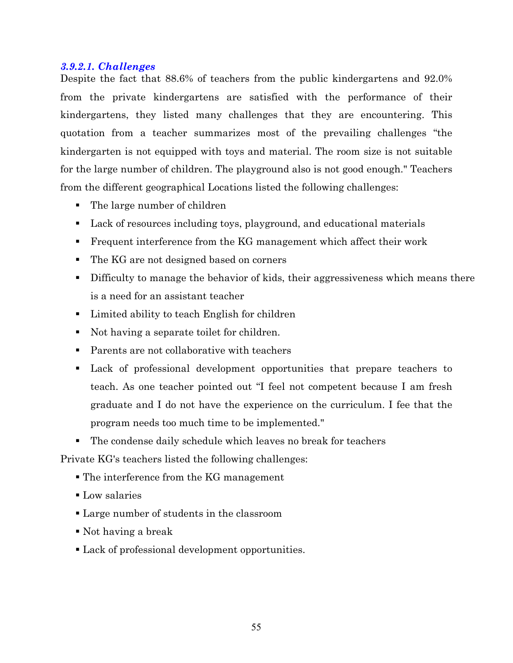#### 3.9.2.1. Challenges

Despite the fact that 88.6% of teachers from the public kindergartens and 92.0% from the private kindergartens are satisfied with the performance of their kindergartens, they listed many challenges that they are encountering. This quotation from a teacher summarizes most of the prevailing challenges "the kindergarten is not equipped with toys and material. The room size is not suitable for the large number of children. The playground also is not good enough." Teachers from the different geographical Locations listed the following challenges:

- $\blacksquare$  The large number of children
- Lack of resources including toys, playground, and educational materials
- Frequent interference from the KG management which affect their work
- The KG are not designed based on corners
- Difficulty to manage the behavior of kids, their aggressiveness which means there is a need for an assistant teacher
- Limited ability to teach English for children
- Not having a separate toilet for children.
- Parents are not collaborative with teachers
- Lack of professional development opportunities that prepare teachers to teach. As one teacher pointed out "I feel not competent because I am fresh graduate and I do not have the experience on the curriculum. I fee that the program needs too much time to be implemented."
- The condense daily schedule which leaves no break for teachers

Private KG's teachers listed the following challenges:

- $\blacksquare$  The interference from the KG management
- Low salaries
- Large number of students in the classroom
- $\blacksquare$  Not having a break
- Lack of professional development opportunities.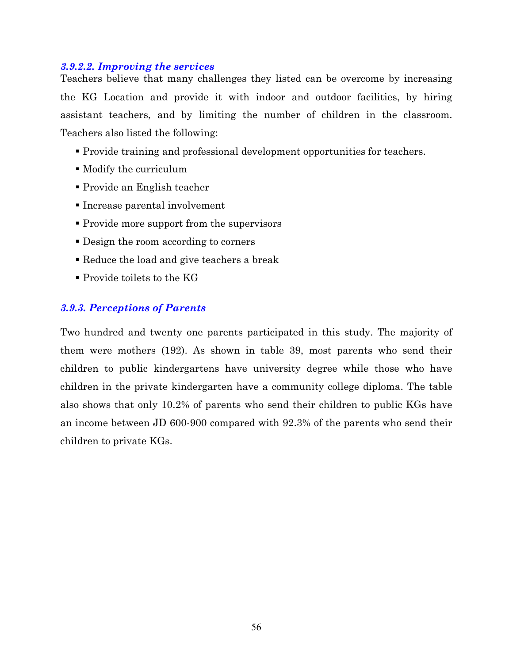#### 3.9.2.2. Improving the services

Teachers believe that many challenges they listed can be overcome by increasing the KG Location and provide it with indoor and outdoor facilities, by hiring assistant teachers, and by limiting the number of children in the classroom. Teachers also listed the following:

- Provide training and professional development opportunities for teachers.
- Modify the curriculum
- Provide an English teacher
- Increase parental involvement
- Provide more support from the supervisors
- Design the room according to corners
- Reduce the load and give teachers a break
- $\blacksquare$  Provide toilets to the KG

## **3.9.3. Perceptions of Parents**

Two hundred and twenty one parents participated in this study. The majority of them were mothers (192). As shown in table 39, most parents who send their children to public kindergartens have university degree while those who have children in the private kindergarten have a community college diploma. The table also shows that only 10.2% of parents who send their children to public KGs have an income between JD 600-900 compared with 92.3% of the parents who send their children to private KGs.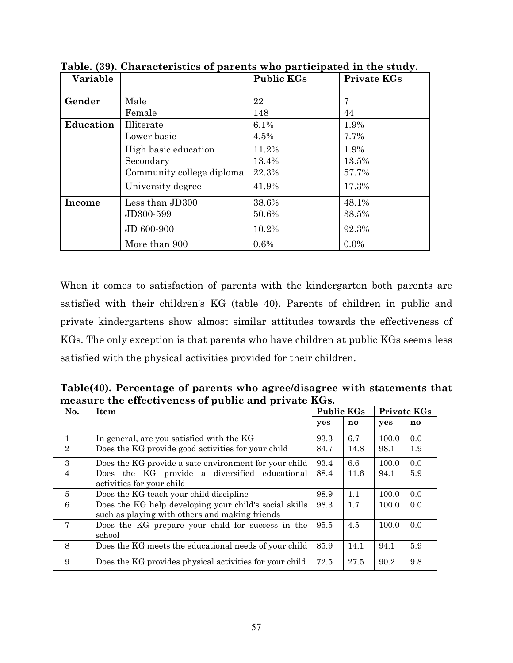| Variable         |                           | <b>Public KGs</b> | <b>Private KGs</b> |
|------------------|---------------------------|-------------------|--------------------|
|                  |                           |                   |                    |
| Gender           | Male                      | 22                | 7                  |
|                  | Female                    | 148               | 44                 |
| <b>Education</b> | Illiterate                | 6.1%              | 1.9%               |
|                  | Lower basic               | 4.5%              | 7.7%               |
|                  | High basic education      | 11.2%             | 1.9%               |
|                  | Secondary                 | 13.4%             | 13.5%              |
|                  | Community college diploma | 22.3%             | 57.7%              |
|                  | University degree         | 41.9%             | 17.3%              |
| Income           | Less than JD300           | 38.6%             | 48.1%              |
|                  | JD300-599                 | 50.6%             | 38.5%              |
|                  | JD 600-900                | 10.2%             | 92.3%              |
|                  | More than 900             | 0.6%              | $0.0\%$            |

Table. (39). Characteristics of parents who participated in the study.

When it comes to satisfaction of parents with the kindergarten both parents are satisfied with their children's KG (table 40). Parents of children in public and private kindergartens show almost similar attitudes towards the effectiveness of KGs. The only exception is that parents who have children at public KGs seems less satisfied with the physical activities provided for their children.

Table(40). Percentage of parents who agree/disagree with statements that measure the effectiveness of public and private KGs.

| No.            | <b>Item</b>                                                                                              | <b>Public KGs</b> |               | <b>Private KGs</b> |               |
|----------------|----------------------------------------------------------------------------------------------------------|-------------------|---------------|--------------------|---------------|
|                |                                                                                                          | yes               | $\mathbf{no}$ | yes                | $\mathbf{no}$ |
| $\mathbf{1}$   | In general, are you satisfied with the KG                                                                | 93.3              | 6.7           | 100.0              | 0.0           |
| $\overline{2}$ | Does the KG provide good activities for your child                                                       | 84.7              | 14.8          | 98.1               | 1.9           |
| $\mathcal{S}$  | Does the KG provide a sate environment for your child                                                    | 93.4              | 6.6           | 100.0              | 0.0           |
| $\overline{4}$ | Does the KG provide a diversified educational<br>activities for your child                               | 88.4              | 11.6          | 94.1               | 5.9           |
| 5              | Does the KG teach your child discipline                                                                  | 98.9              | 1.1           | 100.0              | 0.0           |
| 6              | Does the KG help developing your child's social skills<br>such as playing with others and making friends | 98.3              | 1.7           | 100.0              | 0.0           |
| $\overline{7}$ | Does the KG prepare your child for success in the<br>school                                              | 95.5              | 4.5           | 100.0              | 0.0           |
| 8              | Does the KG meets the educational needs of your child                                                    | 85.9              | 14.1          | 94.1               | 5.9           |
| 9              | Does the KG provides physical activities for your child                                                  | 72.5              | 27.5          | 90.2               | 9.8           |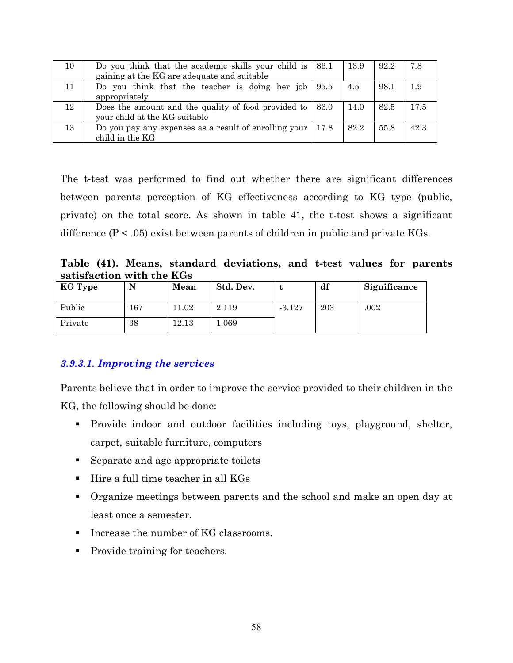| Do you think that the academic skills your child is $\mid 86.1 \rangle$ |                                                                                                                  | 13.9                                                                                                                                                                                 | 92.2 | 7.8  |
|-------------------------------------------------------------------------|------------------------------------------------------------------------------------------------------------------|--------------------------------------------------------------------------------------------------------------------------------------------------------------------------------------|------|------|
|                                                                         |                                                                                                                  |                                                                                                                                                                                      |      |      |
|                                                                         |                                                                                                                  | 4.5                                                                                                                                                                                  | 98.1 | 1.9  |
|                                                                         |                                                                                                                  |                                                                                                                                                                                      |      |      |
|                                                                         |                                                                                                                  | 14.0                                                                                                                                                                                 | 82.5 | 17.5 |
|                                                                         |                                                                                                                  |                                                                                                                                                                                      |      |      |
|                                                                         | 17.8                                                                                                             | 82.2                                                                                                                                                                                 | 55.8 | 42.3 |
|                                                                         | gaining at the KG are adequate and suitable<br>appropriately<br>your child at the KG suitable<br>child in the KG | Do you think that the teacher is doing her job $ 95.5 $<br>Does the amount and the quality of food provided to $\vert$ 86.0<br>Do you pay any expenses as a result of enrolling your |      |      |

The t-test was performed to find out whether there are significant differences between parents perception of KG effectiveness according to KG type (public, private) on the total score. As shown in table 41, the t-test shows a significant difference ( $P < .05$ ) exist between parents of children in public and private KGs.

Table (41). Means, standard deviations, and t-test values for parents satisfaction with the KGs

| KG Type |     | Mean  | Std. Dev. |          | df  | Significance |
|---------|-----|-------|-----------|----------|-----|--------------|
| Public  | 167 | 11.02 | 2.119     | $-3.127$ | 203 | .002         |
| Private | 38  | 12.13 | 069       |          |     |              |

#### 3.9.3.1. Improving the services

Parents believe that in order to improve the service provided to their children in the KG, the following should be done:

- Provide indoor and outdoor facilities including toys, playground, shelter, carpet, suitable furniture, computers
- Separate and age appropriate toilets
- $\blacksquare$  Hire a full time teacher in all KGs
- Organize meetings between parents and the school and make an open day at least once a semester.
- Increase the number of KG classrooms.
- Provide training for teachers.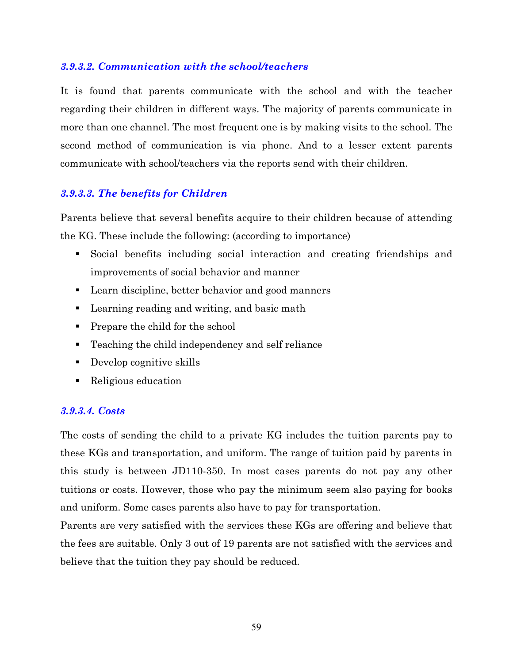## 3.9.3.2. Communication with the school/teachers

It is found that parents communicate with the school and with the teacher regarding their children in different ways. The majority of parents communicate in more than one channel. The most frequent one is by making visits to the school. The second method of communication is via phone. And to a lesser extent parents communicate with school/teachers via the reports send with their children.

## 3.9.3.3. The benefits for Children

Parents believe that several benefits acquire to their children because of attending the KG. These include the following: (according to importance)

- Social benefits including social interaction and creating friendships and improvements of social behavior and manner
- Learn discipline, better behavior and good manners
- Learning reading and writing, and basic math
- Prepare the child for the school
- Teaching the child independency and self reliance
- Develop cognitive skills
- Religious education

#### 3.9.3.4. Costs

The costs of sending the child to a private KG includes the tuition parents pay to these KGs and transportation, and uniform. The range of tuition paid by parents in this study is between JD110-350. In most cases parents do not pay any other tuitions or costs. However, those who pay the minimum seem also paying for books and uniform. Some cases parents also have to pay for transportation.

Parents are very satisfied with the services these KGs are offering and believe that the fees are suitable. Only 3 out of 19 parents are not satisfied with the services and believe that the tuition they pay should be reduced.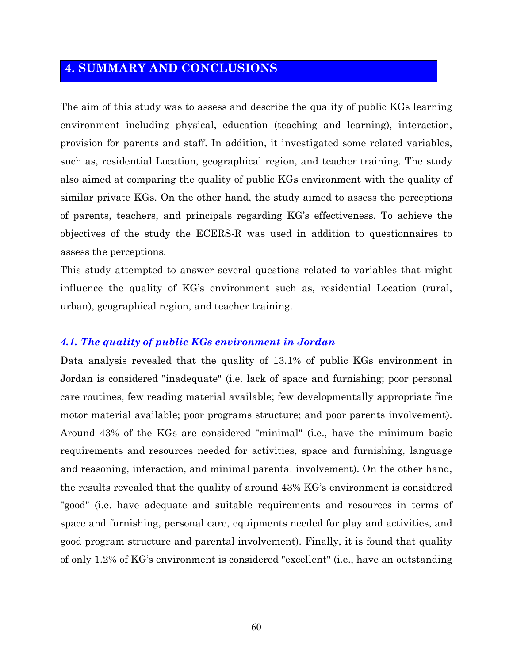# **4. SUMMARY AND CONCLUSIONS**

The aim of this study was to assess and describe the quality of public KGs learning environment including physical, education (teaching and learning), interaction, provision for parents and staff. In addition, it investigated some related variables, such as, residential Location, geographical region, and teacher training. The study also aimed at comparing the quality of public KGs environment with the quality of similar private KGs. On the other hand, the study aimed to assess the perceptions of parents, teachers, and principals regarding KG's effectiveness. To achieve the objectives of the study the ECERS-R was used in addition to questionnaires to assess the perceptions.

This study attempted to answer several questions related to variables that might influence the quality of KG's environment such as, residential Location (rural, urban), geographical region, and teacher training.

#### 4.1. The quality of public KGs environment in Jordan

Data analysis revealed that the quality of 13.1% of public KGs environment in Jordan is considered "inadequate" (i.e. lack of space and furnishing; poor personal care routines, few reading material available; few developmentally appropriate fine motor material available; poor programs structure; and poor parents involvement). Around 43% of the KGs are considered "minimal" (i.e., have the minimum basic requirements and resources needed for activities, space and furnishing, language and reasoning, interaction, and minimal parental involvement). On the other hand, the results revealed that the quality of around 43% KG's environment is considered "good" (i.e. have adequate and suitable requirements and resources in terms of space and furnishing, personal care, equipments needed for play and activities, and good program structure and parental involvement). Finally, it is found that quality of only 1.2% of KG's environment is considered "excellent" (i.e., have an outstanding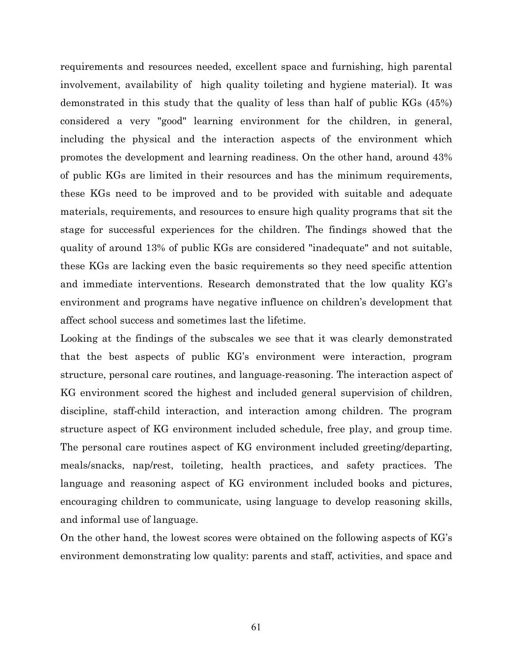requirements and resources needed, excellent space and furnishing, high parental involvement, availability of high quality toileting and hygiene material). It was demonstrated in this study that the quality of less than half of public KGs (45%) considered a very "good" learning environment for the children, in general, including the physical and the interaction aspects of the environment which promotes the development and learning readiness. On the other hand, around 43% of public KGs are limited in their resources and has the minimum requirements, these KGs need to be improved and to be provided with suitable and adequate materials, requirements, and resources to ensure high quality programs that sit the stage for successful experiences for the children. The findings showed that the quality of around 13% of public KGs are considered "inadequate" and not suitable, these KGs are lacking even the basic requirements so they need specific attention and immediate interventions. Research demonstrated that the low quality KG's environment and programs have negative influence on children's development that affect school success and sometimes last the lifetime.

Looking at the findings of the subscales we see that it was clearly demonstrated that the best aspects of public KG's environment were interaction, program structure, personal care routines, and language-reasoning. The interaction aspect of KG environment scored the highest and included general supervision of children, discipline, staff-child interaction, and interaction among children. The program structure aspect of KG environment included schedule, free play, and group time. The personal care routines aspect of KG environment included greeting/departing, meals/snacks, nap/rest, toileting, health practices, and safety practices. The language and reasoning aspect of KG environment included books and pictures, encouraging children to communicate, using language to develop reasoning skills, and informal use of language.

On the other hand, the lowest scores were obtained on the following aspects of KG's environment demonstrating low quality: parents and staff, activities, and space and

61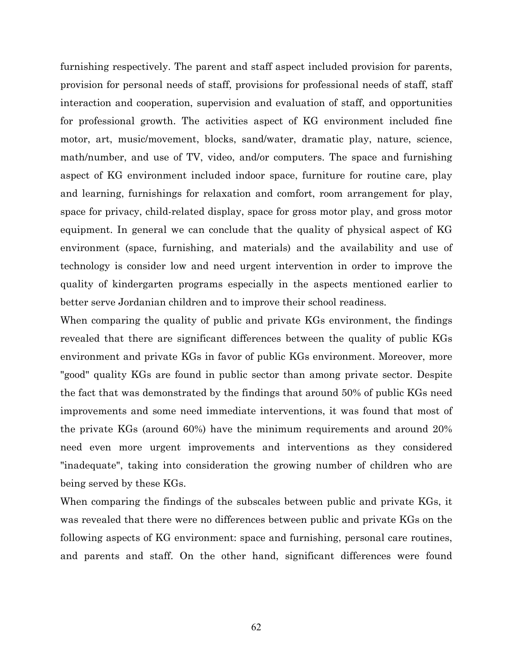furnishing respectively. The parent and staff aspect included provision for parents, provision for personal needs of staff, provisions for professional needs of staff, staff interaction and cooperation, supervision and evaluation of staff, and opportunities for professional growth. The activities aspect of KG environment included fine motor, art, music/movement, blocks, sand/water, dramatic play, nature, science, math/number, and use of TV, video, and/or computers. The space and furnishing aspect of KG environment included indoor space, furniture for routine care, play and learning, furnishings for relaxation and comfort, room arrangement for play, space for privacy, child-related display, space for gross motor play, and gross motor equipment. In general we can conclude that the quality of physical aspect of KG environment (space, furnishing, and materials) and the availability and use of technology is consider low and need urgent intervention in order to improve the quality of kindergarten programs especially in the aspects mentioned earlier to better serve Jordanian children and to improve their school readiness.

When comparing the quality of public and private KGs environment, the findings revealed that there are significant differences between the quality of public KGs environment and private KGs in favor of public KGs environment. Moreover, more "good" quality KGs are found in public sector than among private sector. Despite the fact that was demonstrated by the findings that around 50% of public KGs need improvements and some need immediate interventions, it was found that most of the private KGs (around 60%) have the minimum requirements and around 20% need even more urgent improvements and interventions as they considered "inadequate", taking into consideration the growing number of children who are being served by these KGs.

When comparing the findings of the subscales between public and private KGs, it was revealed that there were no differences between public and private KGs on the following aspects of KG environment: space and furnishing, personal care routines, and parents and staff. On the other hand, significant differences were found

62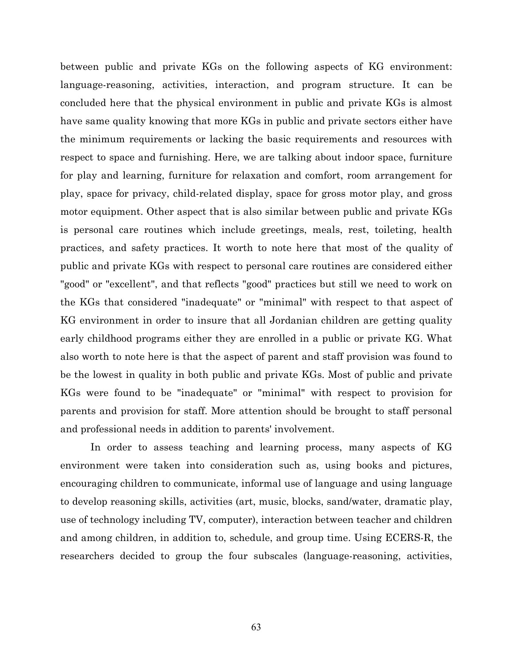between public and private KGs on the following aspects of KG environment: language-reasoning, activities, interaction, and program structure. It can be concluded here that the physical environment in public and private KGs is almost have same quality knowing that more KGs in public and private sectors either have the minimum requirements or lacking the basic requirements and resources with respect to space and furnishing. Here, we are talking about indoor space, furniture for play and learning, furniture for relaxation and comfort, room arrangement for play, space for privacy, child-related display, space for gross motor play, and gross motor equipment. Other aspect that is also similar between public and private KGs is personal care routines which include greetings, meals, rest, toileting, health practices, and safety practices. It worth to note here that most of the quality of public and private KGs with respect to personal care routines are considered either "good" or "excellent", and that reflects "good" practices but still we need to work on the KGs that considered "inadequate" or "minimal" with respect to that aspect of KG environment in order to insure that all Jordanian children are getting quality early childhood programs either they are enrolled in a public or private KG. What also worth to note here is that the aspect of parent and staff provision was found to be the lowest in quality in both public and private KGs. Most of public and private KGs were found to be "inadequate" or "minimal" with respect to provision for parents and provision for staff. More attention should be brought to staff personal and professional needs in addition to parents' involvement.

In order to assess teaching and learning process, many aspects of KG environment were taken into consideration such as, using books and pictures, encouraging children to communicate, informal use of language and using language to develop reasoning skills, activities (art, music, blocks, sand/water, dramatic play, use of technology including TV, computer), interaction between teacher and children and among children, in addition to, schedule, and group time. Using ECERS-R, the researchers decided to group the four subscales (language-reasoning, activities,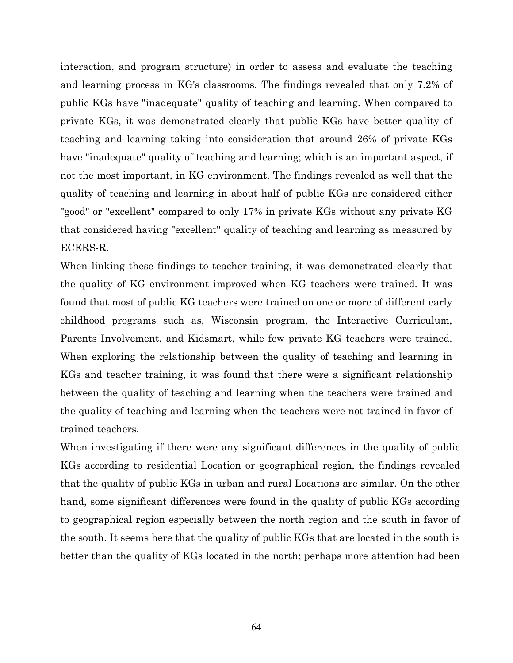interaction, and program structure) in order to assess and evaluate the teaching and learning process in KG's classrooms. The findings revealed that only 7.2% of public KGs have "inadequate" quality of teaching and learning. When compared to private KGs, it was demonstrated clearly that public KGs have better quality of teaching and learning taking into consideration that around 26% of private KGs have "inadequate" quality of teaching and learning; which is an important aspect, if not the most important, in KG environment. The findings revealed as well that the quality of teaching and learning in about half of public KGs are considered either "good" or "excellent" compared to only 17% in private KGs without any private KG that considered having "excellent" quality of teaching and learning as measured by ECERS-R.

When linking these findings to teacher training, it was demonstrated clearly that the quality of KG environment improved when KG teachers were trained. It was found that most of public KG teachers were trained on one or more of different early childhood programs such as, Wisconsin program, the Interactive Curriculum, Parents Involvement, and Kidsmart, while few private KG teachers were trained. When exploring the relationship between the quality of teaching and learning in KGs and teacher training, it was found that there were a significant relationship between the quality of teaching and learning when the teachers were trained and the quality of teaching and learning when the teachers were not trained in favor of trained teachers.

When investigating if there were any significant differences in the quality of public KGs according to residential Location or geographical region, the findings revealed that the quality of public KGs in urban and rural Locations are similar. On the other hand, some significant differences were found in the quality of public KGs according to geographical region especially between the north region and the south in favor of the south. It seems here that the quality of public KGs that are located in the south is better than the quality of KGs located in the north; perhaps more attention had been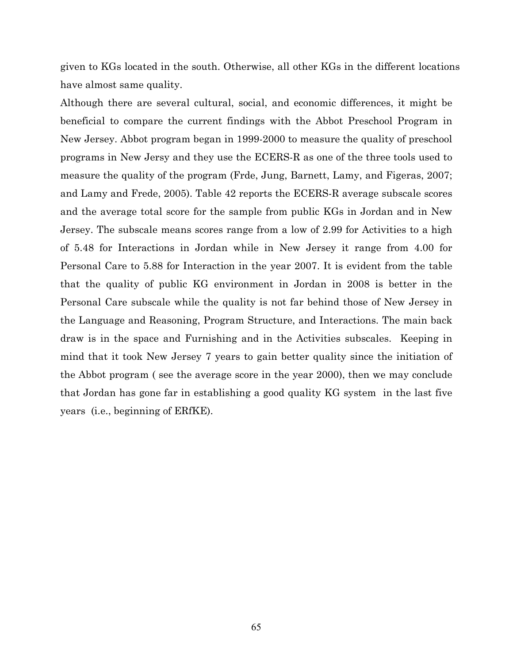given to KGs located in the south. Otherwise, all other KGs in the different locations have almost same quality.

Although there are several cultural, social, and economic differences, it might be beneficial to compare the current findings with the Abbot Preschool Program in New Jersey. Abbot program began in 1999-2000 to measure the quality of preschool programs in New Jersy and they use the ECERS-R as one of the three tools used to measure the quality of the program (Frde, Jung, Barnett, Lamy, and Figeras, 2007; and Lamy and Frede, 2005). Table 42 reports the ECERS-R average subscale scores and the average total score for the sample from public KGs in Jordan and in New Jersey. The subscale means scores range from a low of 2.99 for Activities to a high of 5.48 for Interactions in Jordan while in New Jersey it range from 4.00 for Personal Care to 5.88 for Interaction in the year 2007. It is evident from the table that the quality of public KG environment in Jordan in 2008 is better in the Personal Care subscale while the quality is not far behind those of New Jersey in the Language and Reasoning, Program Structure, and Interactions. The main back draw is in the space and Furnishing and in the Activities subscales. Keeping in mind that it took New Jersey 7 years to gain better quality since the initiation of the Abbot program (see the average score in the year 2000), then we may conclude that Jordan has gone far in establishing a good quality KG system in the last five years (i.e., beginning of ERfKE).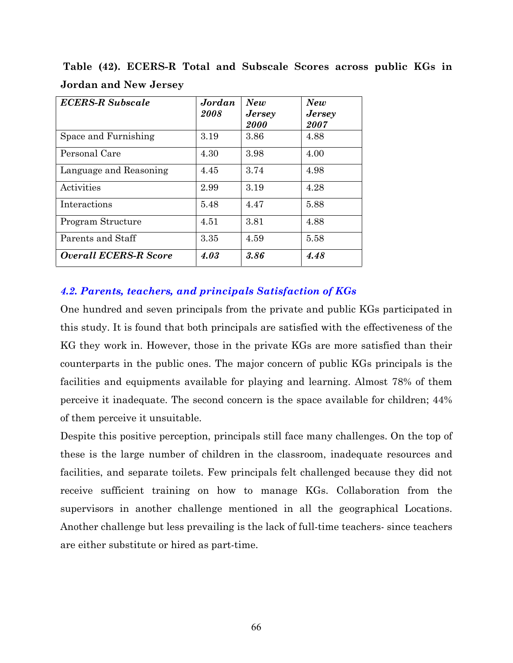| <b>ECERS-R Subscale</b>      | Jordan<br>2008 | New<br><b>Jersey</b><br>2000 | New<br><b>Jersey</b><br><i>2007</i> |
|------------------------------|----------------|------------------------------|-------------------------------------|
| Space and Furnishing         | 3.19           | 3.86                         | 4.88                                |
| Personal Care                | 4.30           | 3.98                         | 4.00                                |
| Language and Reasoning       | 4.45           | 3.74                         | 4.98                                |
| Activities                   | 2.99           | 3.19                         | 4.28                                |
| Interactions                 | 5.48           | 4.47                         | 5.88                                |
| Program Structure            | 4.51           | 3.81                         | 4.88                                |
| Parents and Staff            | 3.35           | 4.59                         | 5.58                                |
| <b>Overall ECERS-R Score</b> | 4.03           | 3.86                         | 4.48                                |

Table (42). ECERS-R Total and Subscale Scores across public KGs in **Jordan and New Jersey** 

## 4.2. Parents, teachers, and principals Satisfaction of KGs

One hundred and seven principals from the private and public KGs participated in this study. It is found that both principals are satisfied with the effectiveness of the KG they work in. However, those in the private KGs are more satisfied than their counterparts in the public ones. The major concern of public KGs principals is the facilities and equipments available for playing and learning. Almost 78% of them perceive it inadequate. The second concern is the space available for children; 44% of them perceive it unsuitable.

Despite this positive perception, principals still face many challenges. On the top of these is the large number of children in the classroom, inadequate resources and facilities, and separate toilets. Few principals felt challenged because they did not receive sufficient training on how to manage KGs. Collaboration from the supervisors in another challenge mentioned in all the geographical Locations. Another challenge but less prevailing is the lack of full-time teachers- since teachers are either substitute or hired as part-time.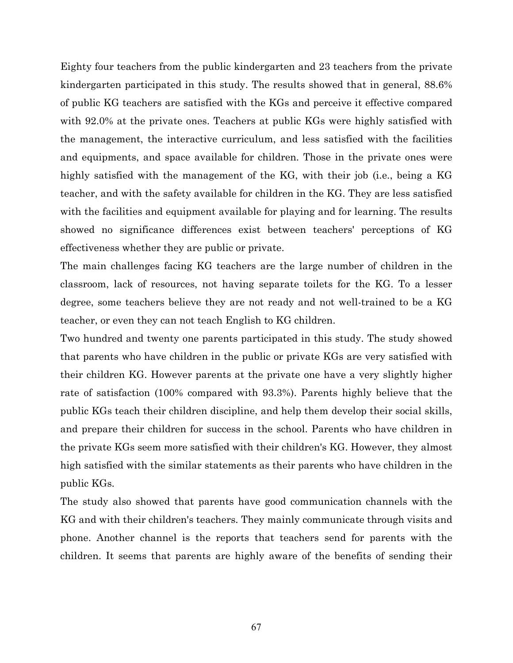Eighty four teachers from the public kindergarten and 23 teachers from the private kindergarten participated in this study. The results showed that in general, 88.6% of public KG teachers are satisfied with the KGs and perceive it effective compared with 92.0% at the private ones. Teachers at public KGs were highly satisfied with the management, the interactive curriculum, and less satisfied with the facilities and equipments, and space available for children. Those in the private ones were highly satisfied with the management of the KG, with their job (i.e., being a KG teacher, and with the safety available for children in the KG. They are less satisfied with the facilities and equipment available for playing and for learning. The results showed no significance differences exist between teachers' perceptions of KG effectiveness whether they are public or private.

The main challenges facing KG teachers are the large number of children in the classroom, lack of resources, not having separate toilets for the KG. To a lesser degree, some teachers believe they are not ready and not well-trained to be a KG teacher, or even they can not teach English to KG children.

Two hundred and twenty one parents participated in this study. The study showed that parents who have children in the public or private KGs are very satisfied with their children KG. However parents at the private one have a very slightly higher rate of satisfaction (100% compared with 93.3%). Parents highly believe that the public KGs teach their children discipline, and help them develop their social skills, and prepare their children for success in the school. Parents who have children in the private KGs seem more satisfied with their children's KG. However, they almost high satisfied with the similar statements as their parents who have children in the public KGs.

The study also showed that parents have good communication channels with the KG and with their children's teachers. They mainly communicate through visits and phone. Another channel is the reports that teachers send for parents with the children. It seems that parents are highly aware of the benefits of sending their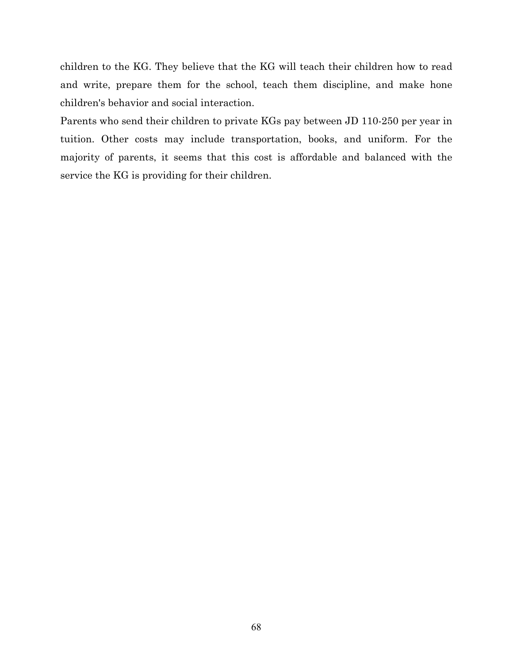children to the KG. They believe that the KG will teach their children how to read and write, prepare them for the school, teach them discipline, and make hone children's behavior and social interaction.

Parents who send their children to private KGs pay between JD 110-250 per year in tuition. Other costs may include transportation, books, and uniform. For the majority of parents, it seems that this cost is affordable and balanced with the service the KG is providing for their children.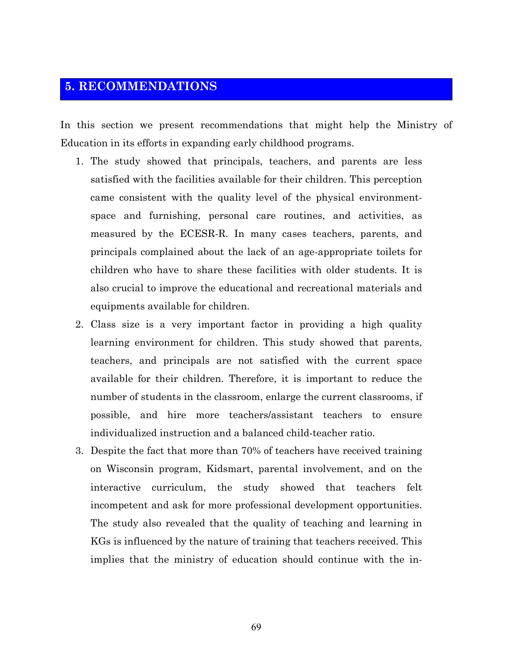# **5. RECOMMENDATIONS**

In this section we present recommendations that might help the Ministry of Education in its efforts in expanding early childhood programs.

- 1. The study showed that principals, teachers, and parents are less satisfied with the facilities available for their children. This perception came consistent with the quality level of the physical environmentspace and furnishing, personal care routines, and activities, as measured by the ECESR-R. In many cases teachers, parents, and principals complained about the lack of an age-appropriate toilets for children who have to share these facilities with older students. It is also crucial to improve the educational and recreational materials and equipments available for children.
- 2. Class size is a very important factor in providing a high quality learning environment for children. This study showed that parents, teachers, and principals are not satisfied with the current space available for their children. Therefore, it is important to reduce the number of students in the classroom, enlarge the current classrooms, if possible, and hire more teachers/assistant teachers to ensure individualized instruction and a balanced child-teacher ratio.
- 3. Despite the fact that more than 70% of teachers have received training on Wisconsin program, Kidsmart, parental involvement, and on the interactive curriculum, the study showed that teachers felt incompetent and ask for more professional development opportunities. The study also revealed that the quality of teaching and learning in KGs is influenced by the nature of training that teachers received. This implies that the ministry of education should continue with the in-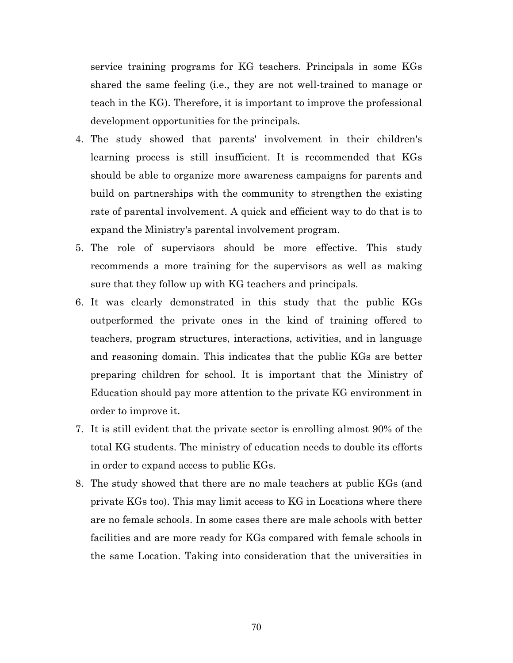service training programs for KG teachers. Principals in some KGs shared the same feeling (i.e., they are not well-trained to manage or teach in the KG). Therefore, it is important to improve the professional development opportunities for the principals.

- 4. The study showed that parents' involvement in their children's learning process is still insufficient. It is recommended that KGs should be able to organize more awareness campaigns for parents and build on partnerships with the community to strengthen the existing rate of parental involvement. A quick and efficient way to do that is to expand the Ministry's parental involvement program.
- 5. The role of supervisors should be more effective. This study recommends a more training for the supervisors as well as making sure that they follow up with KG teachers and principals.
- 6. It was clearly demonstrated in this study that the public KGs outperformed the private ones in the kind of training offered to teachers, program structures, interactions, activities, and in language and reasoning domain. This indicates that the public KGs are better preparing children for school. It is important that the Ministry of Education should pay more attention to the private KG environment in order to improve it.
- 7. It is still evident that the private sector is enrolling almost 90% of the total KG students. The ministry of education needs to double its efforts in order to expand access to public KGs.
- 8. The study showed that there are no male teachers at public KGs (and private KGs too). This may limit access to KG in Locations where there are no female schools. In some cases there are male schools with better facilities and are more ready for KGs compared with female schools in the same Location. Taking into consideration that the universities in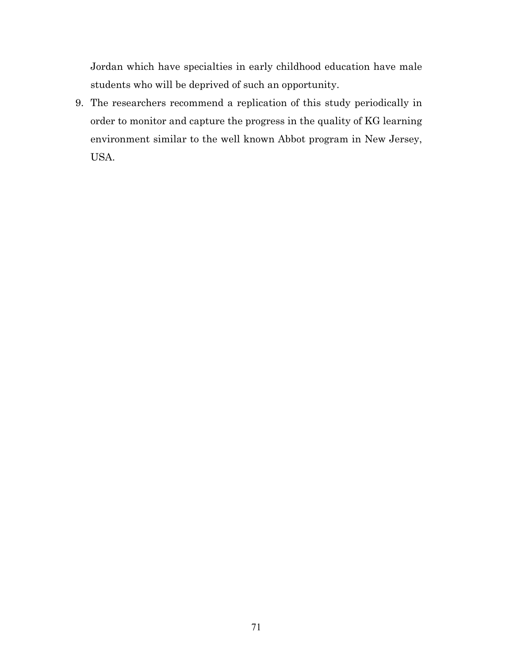Jordan which have specialties in early childhood education have male students who will be deprived of such an opportunity.

9. The researchers recommend a replication of this study periodically in order to monitor and capture the progress in the quality of KG learning environment similar to the well known Abbot program in New Jersey, USA.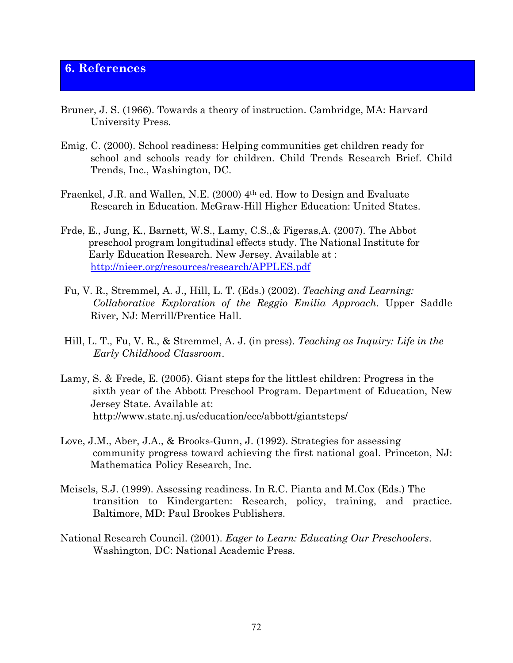#### **6. References**

- Bruner, J. S. (1966). Towards a theory of instruction. Cambridge, MA: Harvard University Press.
- Emig, C. (2000). School readiness: Helping communities get children ready for school and schools ready for children. Child Trends Research Brief. Child Trends, Inc., Washington, DC.
- Fraenkel, J.R. and Wallen, N.E. (2000) 4th ed. How to Design and Evaluate Research in Education. McGraw-Hill Higher Education: United States.
- Frde, E., Jung, K., Barnett, W.S., Lamy, C.S., & Figeras, A. (2007). The Abbot preschool program longitudinal effects study. The National Institute for Early Education Research. New Jersey. Available at: http://nieer.org/resources/research/APPLES.pdf
- Fu, V. R., Stremmel, A. J., Hill, L. T. (Eds.) (2002). Teaching and Learning: Collaborative Exploration of the Reggio Emilia Approach. Upper Saddle River, NJ: Merrill/Prentice Hall.
- Hill, L. T., Fu, V. R., & Stremmel, A. J. (in press). Teaching as Inquiry: Life in the Early Childhood Classroom.
- Lamy, S. & Frede, E. (2005). Giant steps for the littlest children: Progress in the sixth year of the Abbott Preschool Program. Department of Education, New Jersey State. Available at: http://www.state.nj.us/education/ece/abbott/giantsteps/
- Love, J.M., Aber, J.A., & Brooks-Gunn, J. (1992). Strategies for assessing community progress toward achieving the first national goal. Princeton, NJ: Mathematica Policy Research, Inc.
- Meisels, S.J. (1999). Assessing readiness. In R.C. Pianta and M.Cox (Eds.) The transition to Kindergarten: Research, policy, training, and practice. Baltimore, MD: Paul Brookes Publishers.
- National Research Council. (2001). Eager to Learn: Educating Our Preschoolers. Washington, DC: National Academic Press.